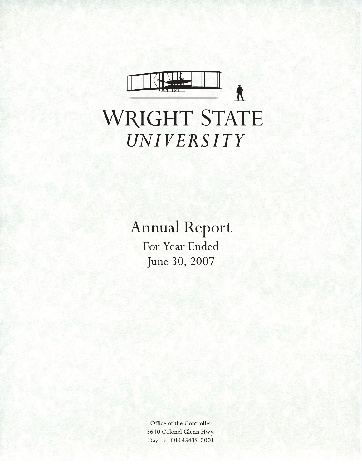

# WRIGHT STATE UNIVERSITY

**Annual Report** For Year Ended

June 30, 2007

Office of the Controller 3640 Colonel Glenn Hwy. Dayton, OH 45435-0001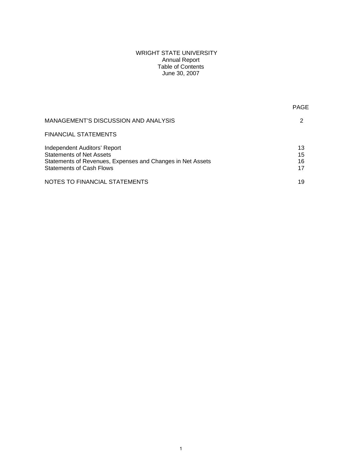## WRIGHT STATE UNIVERSITY Annual Report Table of Contents June 30, 2007

PAGE AND RESERVE THE RESERVE TO A RESERVE THE RESERVE TO A RESERVE THE RESERVE TO A RESERVE THE RESERVE TO A R

| MANAGEMENT'S DISCUSSION AND ANALYSIS                                                                                                                             |                      |
|------------------------------------------------------------------------------------------------------------------------------------------------------------------|----------------------|
| FINANCIAL STATEMENTS                                                                                                                                             |                      |
| <b>Independent Auditors' Report</b><br>Statements of Net Assets<br>Statements of Revenues, Expenses and Changes in Net Assets<br><b>Statements of Cash Flows</b> | 13<br>15<br>16<br>17 |
| NOTES TO FINANCIAL STATEMENTS                                                                                                                                    | 19                   |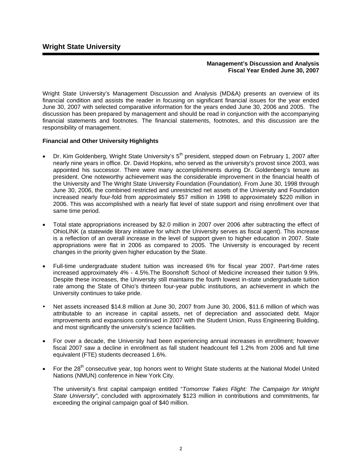## **Management's Discussion and Analysis Fiscal Year Ended June 30, 2007**

Wright State University's Management Discussion and Analysis (MD&A) presents an overview of its financial condition and assists the reader in focusing on significant financial issues for the year ended June 30, 2007 with selected comparative information for the years ended June 30, 2006 and 2005. The discussion has been prepared by management and should be read in conjunction with the accompanying financial statements and footnotes. The financial statements, footnotes, and this discussion are the responsibility of management.

## **Financial and Other University Highlights**

- Dr. Kim Goldenberg, Wright State University's 5<sup>th</sup> president, stepped down on February 1, 2007 after nearly nine years in office. Dr. David Hopkins, who served as the university's provost since 2003, was appointed his successor. There were many accomplishments during Dr. Goldenberg's tenure as president. One noteworthy achievement was the considerable improvement in the financial health of the University and The Wright State University Foundation (Foundation). From June 30, 1998 through June 30, 2006, the combined restricted and unrestricted net assets of the University and Foundation increased nearly four-fold from approximately \$57 million in 1998 to approximately \$220 million in 2006. This was accomplished with a nearly flat level of state support and rising enrollment over that same time period.
- Total state appropriations increased by \$2.0 million in 2007 over 2006 after subtracting the effect of OhioLINK (a statewide library initiative for which the University serves as fiscal agent). This increase is a reflection of an overall increase in the level of support given to higher education in 2007. State appropriations were flat in 2006 as compared to 2005. The University is encouraged by recent changes in the priority given higher education by the State.
- Full-time undergraduate student tuition was increased 6% for fiscal year 2007. Part-time rates increased approximately 4% - 4.5%.The Boonshoft School of Medicine increased their tuition 9.9%. Despite these increases, the University still maintains the fourth lowest in-state undergraduate tuition rate among the State of Ohio's thirteen four-year public institutions, an achievement in which the University continues to take pride.
- Net assets increased \$14.8 million at June 30, 2007 from June 30, 2006, \$11.6 million of which was attributable to an increase in capital assets, net of depreciation and associated debt. Major improvements and expansions continued in 2007 with the Student Union, Russ Engineering Building, and most significantly the university's science facilities.
- For over a decade, the University had been experiencing annual increases in enrollment; however fiscal 2007 saw a decline in enrollment as fall student headcount fell 1.2% from 2006 and full time equivalent (FTE) students decreased 1.6%.
- For the 28<sup>th</sup> consecutive year, top honors went to Wright State students at the National Model United Nations (NMUN) conference in New York City.

The university's first capital campaign entitled "*Tomorrow Takes Flight: The Campaign for Wright State University"*, concluded with approximately \$123 million in contributions and commitments, far exceeding the original campaign goal of \$40 million.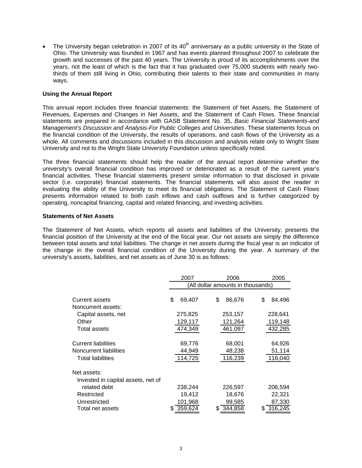The University began celebration in 2007 of its  $40<sup>th</sup>$  anniversary as a public university in the State of Ohio. The University was founded in 1967 and has events planned throughout 2007 to celebrate the growth and successes of the past 40 years. The University is proud of its accomplishments over the years, not the least of which is the fact that it has graduated over 75,000 students with nearly twothirds of them still living in Ohio, contributing their talents to their state and communities in many ways.

## **Using the Annual Report**

This annual report includes three financial statements: the Statement of Net Assets, the Statement of Revenues, Expenses and Changes in Net Assets, and the Statement of Cash Flows. These financial statements are prepared in accordance with GASB Statement No. 35, *Basic Financial Statements-and Management's Discussion and Analysis-For Public Colleges and Universities*. These statements focus on the financial condition of the University, the results of operations, and cash flows of the University as a whole. All comments and discussions included in this discussion and analysis relate only to Wright State University and not to the Wright State University Foundation unless specifically noted.

The three financial statements should help the reader of the annual report determine whether the university's overall financial condition has improved or deteriorated as a result of the current year's financial activities. These financial statements present similar information to that disclosed in private sector (i.e. corporate) financial statements. The financial statements will also assist the reader in evaluating the ability of the University to meet its financial obligations. The Statement of Cash Flows presents information related to both cash inflows and cash outflows and is further categorized by operating, noncapital financing, capital and related financing, and investing activities.

## **Statements of Net Assets**

The Statement of Net Assets, which reports all assets and liabilities of the University, presents the financial position of the University at the end of the fiscal year. Our net assets are simply the difference between total assets and total liabilities. The change in net assets during the fiscal year is an indicator of the change in the overall financial condition of the University during the year. A summary of the university's assets, liabilities, and net assets as of June 30 is as follows:

|                                    | 2007                              |              | 2006    | 2005         |  |  |  |
|------------------------------------|-----------------------------------|--------------|---------|--------------|--|--|--|
|                                    | (All dollar amounts in thousands) |              |         |              |  |  |  |
| Current assets                     | \$                                | \$<br>69,407 | 86,676  | \$<br>84,496 |  |  |  |
| Noncurrent assets:                 |                                   |              |         |              |  |  |  |
| Capital assets, net                | 275,825                           |              | 253,157 | 228,641      |  |  |  |
| Other                              | 129,117                           |              | 121,264 | 119,148      |  |  |  |
| Total assets                       | 474,349                           |              | 461,097 | 432,285      |  |  |  |
| Current liabilities                |                                   | 69,776       | 68,001  | 64,926       |  |  |  |
| Noncurrent liabilities             |                                   | 44,949       | 48,238  | 51,114       |  |  |  |
| <b>Total liabilities</b>           | 114,725                           |              | 116,239 | 116,040      |  |  |  |
| Net assets:                        |                                   |              |         |              |  |  |  |
| Invested in capital assets, net of |                                   |              |         |              |  |  |  |
| related debt                       | 238,244                           |              | 226,597 | 206,594      |  |  |  |
| Restricted                         |                                   | 19,412       | 18,676  | 22,321       |  |  |  |
| Unrestricted                       | 101,968                           |              | 99,585  | 87,330       |  |  |  |
| Total net assets                   | 359,624                           | æ.           | 344,858 | 316,245      |  |  |  |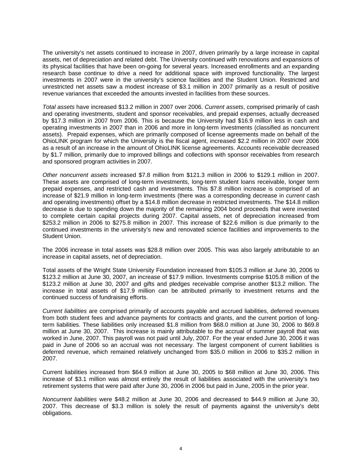The university's net assets continued to increase in 2007, driven primarily by a large increase in capital assets, net of depreciation and related debt. The University continued with renovations and expansions of its physical facilities that have been on-going for several years. Increased enrollments and an expanding research base continue to drive a need for additional space with improved functionality. The largest investments in 2007 were in the university's science facilities and the Student Union. Restricted and unrestricted net assets saw a modest increase of \$3.1 million in 2007 primarily as a result of positive revenue variances that exceeded the amounts invested in facilities from these sources.

*Total assets* have increased \$13.2 million in 2007 over 2006. *Current assets*, comprised primarily of cash and operating investments, student and sponsor receivables, and prepaid expenses, actually decreased by \$17.3 million in 2007 from 2006. This is because the University had \$16.9 million less in cash and operating investments in 2007 than in 2006 and more in long-term investments (classified as noncurrent assets). Prepaid expenses, which are primarily composed of license agreements made on behalf of the OhioLINK program for which the University is the fiscal agent, increased \$2.2 million in 2007 over 2006 as a result of an increase in the amount of OhioLINK license agreements. Accounts receivable decreased by \$1.7 million, primarily due to improved billings and collections with sponsor receivables from research and sponsored program activities in 2007.

*Other noncurrent assets* increased \$7.8 million from \$121.3 million in 2006 to \$129.1 million in 2007. These assets are comprised of long-term investments, long-term student loans receivable, longer term prepaid expenses, and restricted cash and investments. This \$7.8 million increase is comprised of an increase of \$21.9 million in long-term investments (there was a corresponding decrease in *current* cash and operating investments) offset by a \$14.8 million decrease in restricted investments. The \$14.8 million decrease is due to spending down the majority of the remaining 2004 bond proceeds that were invested to complete certain capital projects during 2007. Capital assets, net of depreciation increased from \$253.2 million in 2006 to \$275.8 million in 2007. This increase of \$22.6 million is due primarily to the continued investments in the university's new and renovated science facilities and improvements to the Student Union.

The 2006 increase in total assets was \$28.8 million over 2005. This was also largely attributable to an increase in capital assets, net of depreciation.

Total assets of the Wright State University Foundation increased from \$105.3 million at June 30, 2006 to \$123.2 million at June 30, 2007, an increase of \$17.9 million. Investments comprise \$105.8 million of the \$123.2 million at June 30, 2007 and gifts and pledges receivable comprise another \$13.2 million. The increase in total assets of \$17.9 million can be attributed primarily to investment returns and the continued success of fundraising efforts.

*Current liabilities* are comprised primarily of accounts payable and accrued liabilities, deferred revenues from both student fees and advance payments for contracts and grants, and the current portion of longterm liabilities. These liabilities only increased \$1.8 million from \$68.0 million at June 30, 2006 to \$69.8 million at June 30, 2007. This increase is mainly attributable to the accrual of summer payroll that was worked in June, 2007. This payroll was not paid until July, 2007. For the year ended June 30, 2006 it was paid in June of 2006 so an accrual was not necessary. The largest component of current liabilities is deferred revenue, which remained relatively unchanged from \$35.0 million in 2006 to \$35.2 million in 2007.

Current liabilities increased from \$64.9 million at June 30, 2005 to \$68 million at June 30, 2006. This increase of \$3.1 million was almost entirely the result of liabilities associated with the university's two retirement systems that were paid after June 30, 2006 in 2006 but paid in June, 2005 in the prior year.

*Noncurrent liabilities* were \$48.2 million at June 30, 2006 and decreased to \$44.9 million at June 30, 2007. This decrease of \$3.3 million is solely the result of payments against the university's debt obligations.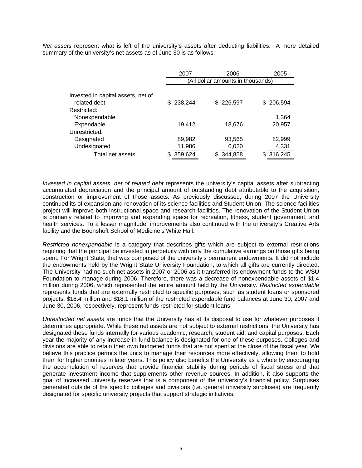*Net assets* represent what is left of the university's assets after deducting liabilities. A more detailed summary of the university's net assets as of June 30 is as follows:

|                                    | 2007           | 2006                              | 2005          |
|------------------------------------|----------------|-----------------------------------|---------------|
|                                    |                | (All dollar amounts in thousands) |               |
|                                    |                |                                   |               |
| Invested in capital assets, net of |                |                                   |               |
| related debt                       | 238,244<br>SS. | \$226,597                         | 206,594<br>S. |
| Restricted:                        |                |                                   |               |
| Nonexpendable                      |                |                                   | 1,364         |
| Expendable                         | 19,412         | 18,676                            | 20,957        |
| Unrestricted:                      |                |                                   |               |
| Designated                         | 89,982         | 93,565                            | 82,999        |
| Undesignated                       | 11,986         | 6,020                             | 4,331         |
| Total net assets                   | 359,624        | 344,858                           | 316,245       |

*Invested in capital assets, net of related debt* represents the university's capital assets after subtracting accumulated depreciation and the principal amount of outstanding debt attributable to the acquisition, construction or improvement of those assets. As previously discussed, during 2007 the University continued its of expansion and renovation of its science facilities and Student Union. The science facilities project will improve both instructional space and research facilities. The renovation of the Student Union is primarily related to improving and expanding space for recreation, fitness, student government, and health services. To a lesser magnitude, improvements also continued with the university's Creative Arts facility and the Boonshoft School of Medicine's White Hall.

*Restricted nonexpendable* is a category that describes gifts which are subject to external restrictions requiring that the principal be invested in perpetuity with only the cumulative earnings on those gifts being spent. For Wright State, that was composed of the university's permanent endowments. It did not include the endowments held by the Wright State University Foundation, to which all gifts are currently directed. The University had no such net assets in 2007 or 2006 as it transferred its endowment funds to the WSU Foundation to manage during 2006. Therefore, there was a decrease of nonexpendable assets of \$1.4 million during 2006, which represented the entire amount held by the University. *Restricted expendable* represents funds that are externally restricted to specific purposes, such as student loans or sponsored projects. \$18.4 million and \$18.1 million of the restricted expendable fund balances at June 30, 2007 and June 30, 2006, respectively, represent funds restricted for student loans.

*Unrestricted net assets* are funds that the University has at its disposal to use for whatever purposes it determines appropriate. While these net assets are not subject to external restrictions, the University has designated these funds internally for various academic, research, student aid, and capital purposes. Each year the majority of any increase in fund balance is designated for one of these purposes. Colleges and divisions are able to retain their own budgeted funds that are not spent at the close of the fiscal year. We believe this practice permits the units to manage their resources more effectively, allowing them to hold them for higher priorities in later years. This policy also benefits the University as a whole by encouraging the accumulation of reserves that provide financial stability during periods of fiscal stress and that generate investment income that supplements other revenue sources. In addition, it also supports the goal of increased university reserves that is a component of the university's financial policy. Surpluses generated outside of the specific colleges and divisions (i.e. general university surpluses) are frequently designated for specific university projects that support strategic initiatives.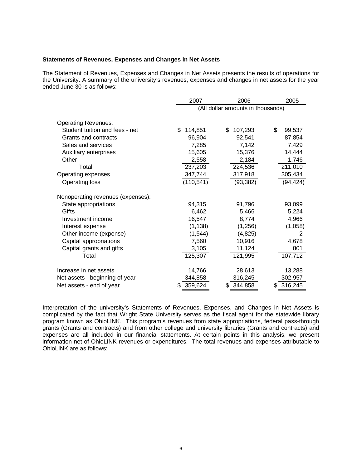#### **Statements of Revenues, Expenses and Changes in Net Assets**

The Statement of Revenues, Expenses and Changes in Net Assets presents the results of operations for the University. A summary of the university's revenues, expenses and changes in net assets for the year ended June 30 is as follows:

|                                   | 2007          | 2006                             |              |  |  |  |  |  |  |
|-----------------------------------|---------------|----------------------------------|--------------|--|--|--|--|--|--|
|                                   |               | All dollar amounts in thousands) |              |  |  |  |  |  |  |
|                                   |               |                                  |              |  |  |  |  |  |  |
| <b>Operating Revenues:</b>        |               |                                  |              |  |  |  |  |  |  |
| Student tuition and fees - net    | \$<br>114,851 | 107,293<br>\$                    | \$<br>99,537 |  |  |  |  |  |  |
| Grants and contracts              | 96,904        | 92,541                           | 87,854       |  |  |  |  |  |  |
| Sales and services                | 7,285         | 7,142                            | 7,429        |  |  |  |  |  |  |
| Auxiliary enterprises             | 15,605        | 15,376                           | 14,444       |  |  |  |  |  |  |
| Other                             | 2,558         | 2,184                            | 1,746        |  |  |  |  |  |  |
| Total                             | 237,203       | 224,536                          | 211,010      |  |  |  |  |  |  |
| Operating expenses                | 347,744       | 317,918                          | 305,434      |  |  |  |  |  |  |
| <b>Operating loss</b>             | (110, 541)    | (93, 382)                        | (94, 424)    |  |  |  |  |  |  |
| Nonoperating revenues (expenses): |               |                                  |              |  |  |  |  |  |  |
| State appropriations              | 94,315        | 91,796                           | 93,099       |  |  |  |  |  |  |
| Gifts                             | 6,462         | 5,466                            | 5,224        |  |  |  |  |  |  |
| Investment income                 | 16,547        | 8,774                            | 4,966        |  |  |  |  |  |  |
| Interest expense                  | (1, 138)      | (1,256)                          | (1,058)      |  |  |  |  |  |  |
| Other income (expense)            | (1, 544)      | (4,825)                          | 2            |  |  |  |  |  |  |
| Capital appropriations            | 7,560         | 10,916                           | 4,678        |  |  |  |  |  |  |
| Capital grants and gifts          | 3,105         | 11,124                           | 801          |  |  |  |  |  |  |
| Total                             | 125,307       | 121,995                          | 107,712      |  |  |  |  |  |  |
|                                   |               |                                  |              |  |  |  |  |  |  |
| Increase in net assets            | 14,766        | 28,613                           | 13,288       |  |  |  |  |  |  |
| Net assets - beginning of year    | 344,858       | 316,245                          | 302,957      |  |  |  |  |  |  |
| Net assets - end of year          | 359,624       | \$344,858                        | \$316,245    |  |  |  |  |  |  |

Interpretation of the university's Statements of Revenues, Expenses, and Changes in Net Assets is complicated by the fact that Wright State University serves as the fiscal agent for the statewide library program known as OhioLINK. This program's revenues from state appropriations, federal pass-through grants (Grants and contracts) and from other college and university libraries (Grants and contracts) and expenses are all included in our financial statements. At certain points in this analysis, we present information net of OhioLINK revenues or expenditures. The total revenues and expenses attributable to OhioLINK are as follows: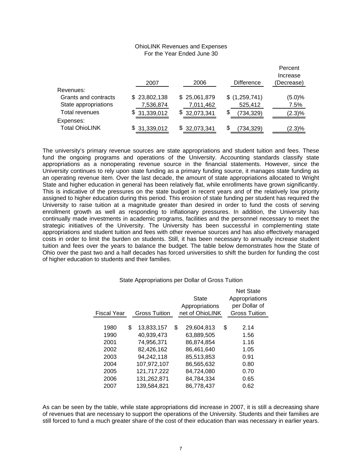## OhioLINK Revenues and Expenses For the Year Ended June 30

Percent

|                       | 2007         | 2006         | <b>Difference</b> | Percent<br>Increase<br>(Decrease) |
|-----------------------|--------------|--------------|-------------------|-----------------------------------|
| Revenues:             |              |              |                   |                                   |
| Grants and contracts  | \$23,802,138 | \$25,061,879 | \$(1,259,741)     | (5.0)%                            |
| State appropriations  | 7,536,874    | 7,011,462    | 525,412           | 7.5%                              |
| Total revenues        | \$31,339,012 | \$32,073,341 | S<br>(734, 329)   | $(2.3)\%$                         |
| Expenses:             |              |              |                   |                                   |
| <b>Total OhioLINK</b> | \$31,339,012 | \$32,073,341 | (734, 329)        | $(2.3)\%$                         |

The university's primary revenue sources are state appropriations and student tuition and fees. These fund the ongoing programs and operations of the University. Accounting standards classify state appropriations as a nonoperating revenue source in the financial statements. However, since the University continues to rely upon state funding as a primary funding source, it manages state funding as an operating revenue item. Over the last decade, the amount of state appropriations allocated to Wright State and higher education in general has been relatively flat, while enrollments have grown significantly. This is indicative of the pressures on the state budget in recent years and of the relatively low priority assigned to higher education during this period. This erosion of state funding per student has required the University to raise tuition at a magnitude greater than desired in order to fund the costs of serving enrollment growth as well as responding to inflationary pressures. In addition, the University has continually made investments in academic programs, facilities and the personnel necessary to meet the strategic initiatives of the University. The University has been successful in complementing state appropriations and student tuition and fees with other revenue sources and has also effectively managed costs in order to limit the burden on students. Still, it has been necessary to annually increase student tuition and fees over the years to balance the budget. The table below demonstrates how the State of Ohio over the past two and a half decades has forced universities to shift the burden for funding the cost of higher education to students and their families.

| <b>Fiscal Year</b> | <b>Gross Tuition</b> | <b>State</b><br>Appropriations<br>net of OhioLINK | <b>Net State</b><br>Appropriations<br>per Dollar of<br><b>Gross Tuition</b> |
|--------------------|----------------------|---------------------------------------------------|-----------------------------------------------------------------------------|
|                    |                      |                                                   |                                                                             |
| 1980               | \$<br>13,833,157     | \$<br>29,604,813                                  | \$<br>2.14                                                                  |
| 1990               | 40.939.473           | 63.889.505                                        | 1.56                                                                        |
| 2001               | 74,956,371           | 86.874.854                                        | 1.16                                                                        |
| 2002               | 82,426,162           | 86.461.640                                        | 1.05                                                                        |
| 2003               | 94,242,118           | 85.513.853                                        | 0.91                                                                        |
| 2004               | 107,972,107          | 86,565,632                                        | 0.80                                                                        |
| 2005               | 121,717,222          | 84,724,080                                        | 0.70                                                                        |
| 2006               | 131,262,871          | 84.784.334                                        | 0.65                                                                        |
| 2007               | 139,584,821          | 86,778,437                                        | 0.62                                                                        |

#### State Appropriations per Dollar of Gross Tuition

As can be seen by the table, while state appropriations did increase in 2007, it is still a decreasing share of revenues that are necessary to support the operations of the University. Students and their families are still forced to fund a much greater share of the cost of their education than was necessary in earlier years.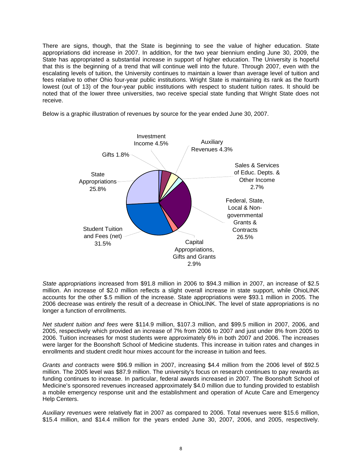There are signs, though, that the State is beginning to see the value of higher education. State appropriations did increase in 2007. In addition, for the two year biennium ending June 30, 2009, the State has appropriated a substantial increase in support of higher education. The University is hopeful that this is the beginning of a trend that will continue well into the future. Through 2007, even with the escalating levels of tuition, the University continues to maintain a lower than average level of tuition and fees relative to other Ohio four-year public institutions. Wright State is maintaining its rank as the fourth lowest (out of 13) of the four-year public institutions with respect to student tuition rates. It should be noted that of the lower three universities, two receive special state funding that Wright State does not receive.

Below is a graphic illustration of revenues by source for the year ended June 30, 2007.



*State appropriations* increased from \$91.8 million in 2006 to \$94.3 million in 2007, an increase of \$2.5 million. An increase of \$2.0 million reflects a slight overall increase in state support, while OhioLINK accounts for the other \$.5 million of the increase. State appropriations were \$93.1 million in 2005. The 2006 decrease was entirely the result of a decrease in OhioLINK. The level of state appropriations is no longer a function of enrollments.

*Net student tuition and fees* were \$114.9 million, \$107.3 million, and \$99.5 million in 2007, 2006, and 2005, respectively which provided an increase of 7% from 2006 to 2007 and just under 8% from 2005 to 2006. Tuition increases for most students were approximately 6% in both 2007 and 2006. The increases were larger for the Boonshoft School of Medicine students. This increase in tuition rates and changes in enrollments and student credit hour mixes account for the increase in tuition and fees.

*Grants and contracts* were \$96.9 million in 2007, increasing \$4.4 million from the 2006 level of \$92.5 million. The 2005 level was \$87.9 million. The university's focus on research continues to pay rewards as funding continues to increase. In particular, federal awards increased in 2007. The Boonshoft School of Medicine's sponsored revenues increased approximately \$4.0 million due to funding provided to establish a mobile emergency response unit and the establishment and operation of Acute Care and Emergency Help Centers.

*Auxiliary revenues* were relatively flat in 2007 as compared to 2006. Total revenues were \$15.6 million, \$15.4 million, and \$14.4 million for the years ended June 30, 2007, 2006, and 2005, respectively.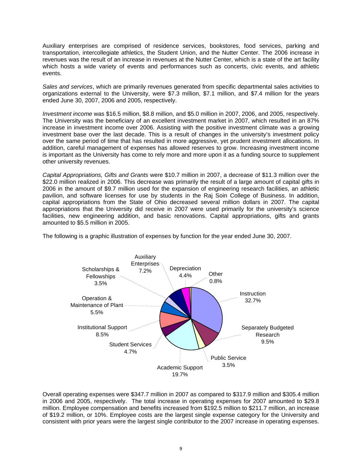Auxiliary enterprises are comprised of residence services, bookstores, food services, parking and transportation, intercollegiate athletics, the Student Union, and the Nutter Center. The 2006 increase in revenues was the result of an increase in revenues at the Nutter Center, which is a state of the art facility which hosts a wide variety of events and performances such as concerts, civic events, and athletic events.

*Sales and services*, which are primarily revenues generated from specific departmental sales activities to organizations external to the University, were \$7.3 million, \$7.1 million, and \$7.4 million for the years ended June 30, 2007, 2006 and 2005, respectively.

*Investment income* was \$16.5 million, \$8.8 million, and \$5.0 million in 2007, 2006, and 2005, respectively. The University was the beneficiary of an excellent investment market in 2007, which resulted in an 87% increase in investment income over 2006. Assisting with the positive investment climate was a growing investment base over the last decade. This is a result of changes in the university's investment policy over the same period of time that has resulted in more aggressive, yet prudent investment allocations. In addition, careful management of expenses has allowed reserves to grow. Increasing investment income is important as the University has come to rely more and more upon it as a funding source to supplement other university revenues.

*Capital Appropriations, Gifts and Grants* were \$10.7 million in 2007, a decrease of \$11.3 million over the \$22.0 million realized in 2006. This decrease was primarily the result of a large amount of capital gifts in 2006 in the amount of \$9.7 million used for the expansion of engineering research facilities, an athletic pavilion, and software licenses for use by students in the Raj Soin College of Business. In addition, capital appropriations from the State of Ohio decreased several million dollars in 2007. The capital appropriations that the University did receive in 2007 were used primarily for the university's science facilities, new engineering addition, and basic renovations. Capital appropriations, gifts and grants amounted to \$5.5 million in 2005.



The following is a graphic illustration of expenses by function for the year ended June 30, 2007.

Overall operating expenses were \$347.7 million in 2007 as compared to \$317.9 million and \$305.4 million in 2006 and 2005, respectively. The total increase in operating expenses for 2007 amounted to \$29.8 million. Employee compensation and benefits increased from \$192.5 million to \$211.7 million, an increase of \$19.2 million, or 10%. Employee costs are the largest single expense category for the University and consistent with prior years were the largest single contributor to the 2007 increase in operating expenses.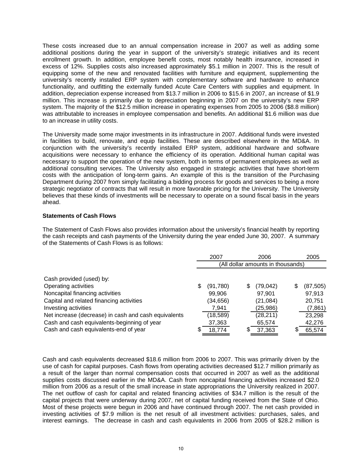These costs increased due to an annual compensation increase in 2007 as well as adding some additional positions during the year in support of the university's strategic initiatives and its recent enrollment growth. In addition, employee benefit costs, most notably health insurance, increased in excess of 12%. Supplies costs also increased approximately \$5.1 million in 2007. This is the result of equipping some of the new and renovated facilities with furniture and equipment, supplementing the university's recently installed ERP system with complementary software and hardware to enhance functionality, and outfitting the externally funded Acute Care Centers with supplies and equipment. In addition, depreciation expense increased from \$13.7 million in 2006 to \$15.6 in 2007, an increase of \$1.9 million. This increase is primarily due to depreciation beginning in 2007 on the university's new ERP system. The majority of the \$12.5 million increase in operating expenses from 2005 to 2006 (\$8.8 million) was attributable to increases in employee compensation and benefits. An additional \$1.6 million was due to an increase in utility costs.

The University made some major investments in its infrastructure in 2007. Additional funds were invested in facilities to build, renovate, and equip facilities. These are described elsewhere in the MD&A. In conjunction with the university's recently installed ERP system, additional hardware and software acquisitions were necessary to enhance the efficiency of its operation. Additional human capital was necessary to support the operation of the new system, both in terms of permanent employees as well as additional consulting services. The University also engaged in strategic activities that have short-term costs with the anticipation of long-term gains. An example of this is the transition of the Purchasing Department during 2007 from simply facilitating a bidding process for goods and services to being a more strategic negotiator of contracts that will result in more favorable pricing for the University. The University believes that these kinds of investments will be necessary to operate on a sound fiscal basis in the years ahead.

## **Statements of Cash Flows**

The Statement of Cash Flows also provides information about the university's financial health by reporting the cash receipts and cash payments of the University during the year ended June 30, 2007. A summary of the Statements of Cash Flows is as follows:

|                                                      | 2007<br>2006                      |           |    |           | 2005 |           |  |  |
|------------------------------------------------------|-----------------------------------|-----------|----|-----------|------|-----------|--|--|
|                                                      | (All dollar amounts in thousands) |           |    |           |      |           |  |  |
| Cash provided (used) by:                             |                                   |           |    |           |      |           |  |  |
| Operating activities                                 |                                   | (91,780)  | \$ | (79, 042) | S    | (87, 505) |  |  |
| Noncapital financing activities                      |                                   | 99.906    |    | 97,901    |      | 97,913    |  |  |
| Capital and related financing activities             |                                   | (34,656)  |    | (21,084)  |      | 20,751    |  |  |
| Investing activities                                 |                                   | 7,941     |    | (25,986)  |      | (7,861)   |  |  |
| Net increase (decrease) in cash and cash equivalents |                                   | (18, 589) |    | (28, 211) |      | 23,298    |  |  |
| Cash and cash equivalents-beginning of year          |                                   | 37,363    |    | 65,574    |      | 42,276    |  |  |
| Cash and cash equivalents-end of year                |                                   | 18,774    | S  | 37,363    |      | 65,574    |  |  |

Cash and cash equivalents decreased \$18.6 million from 2006 to 2007. This was primarily driven by the use of cash for capital purposes. Cash flows from operating activities decreased \$12.7 million primarily as a result of the larger than normal compensation costs that occurred in 2007 as well as the additional supplies costs discussed earlier in the MD&A. Cash from noncapital financing activities increased \$2.0 million from 2006 as a result of the small increase in state appropriations the University realized in 2007. The net outflow of cash for capital and related financing activities of \$34.7 million is the result of the capital projects that were underway during 2007, net of capital funding received from the State of Ohio. Most of these projects were begun in 2006 and have continued through 2007. The net cash provided in investing activities of \$7.9 million is the net result of all investment activities: purchases, sales, and interest earnings. The decrease in cash and cash equivalents in 2006 from 2005 of \$28.2 million is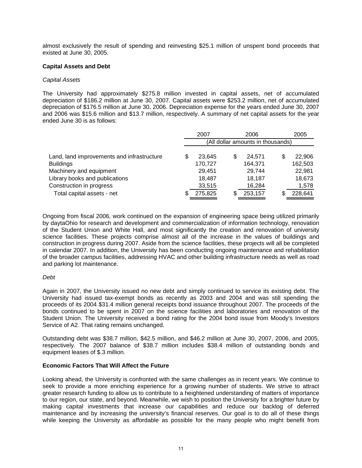almost exclusively the result of spending and reinvesting \$25.1 million of unspent bond proceeds that existed at June 30, 2005.

## **Capital Assets and Debt**

## *Capital Assets*

The University had approximately \$275.8 million invested in capital assets, net of accumulated depreciation of \$186.2 million at June 30, 2007. Capital assets were \$253.2 million, net of accumulated depreciation of \$176.5 million at June 30, 2006. Depreciation expense for the years ended June 30, 2007 and 2006 was \$15.6 million and \$13.7 million, respectively. A summary of net capital assets for the year ended June 30 is as follows:

|                                            | 2007 |                                   |    | 2006    |    | 2005    |
|--------------------------------------------|------|-----------------------------------|----|---------|----|---------|
|                                            |      | (All dollar amounts in thousands) |    |         |    |         |
| Land, land improvements and infrastructure |      | 23.645                            | \$ | 24.571  | \$ | 22,906  |
| <b>Buildings</b>                           |      | 170,727                           |    | 164,371 |    | 162,503 |
| Machinery and equipment                    |      | 29,451                            |    | 29,744  |    | 22,981  |
| Library books and publications             |      | 18,487                            |    | 18,187  |    | 18,673  |
| Construction in progress                   |      | 33,515                            |    | 16,284  |    | 1,578   |
| Total capital assets - net                 |      | 275,825                           | S  | 253,157 | S  | 228,641 |

Ongoing from fiscal 2006, work continued on the expansion of engineering space being utilized primarily by daytaOhio for research and development and commercialization of information technology, renovation of the Student Union and White Hall, and most significantly the creation and renovation of university science facilities. These projects comprise almost all of the increase in the values of buildings and construction in progress during 2007. Aside from the science facilities, these projects will all be completed in calendar 2007. In addition, the University has been conducting ongoing maintenance and rehabilitation of the broader campus facilities, addressing HVAC and other building infrastructure needs as well as road and parking lot maintenance.

## *Debt*

Again in 2007, the University issued no new debt and simply continued to service its existing debt. The University had issued tax-exempt bonds as recently as 2003 and 2004 and was still spending the proceeds of its 2004 \$31.4 million general receipts bond issuance throughout 2007. The proceeds of the bonds continued to be spent in 2007 on the science facilities and laboratories and renovation of the Student Union. The University received a bond rating for the 2004 bond issue from Moody's Investors Service of A2. That rating remains unchanged.

Outstanding debt was \$38.7 million, \$42.5 million, and \$46.2 million at June 30, 2007, 2006, and 2005, respectively. The 2007 balance of \$38.7 million includes \$38.4 million of outstanding bonds and equipment leases of \$.3 million.

## **Economic Factors That Will Affect the Future**

Looking ahead, the University is confronted with the same challenges as in recent years. We continue to seek to provide a more enriching experience for a growing number of students. We strive to attract greater research funding to allow us to contribute to a heightened understanding of matters of importance to our region, our state, and beyond. Meanwhile, we wish to position the University for a brighter future by making capital investments that increase our capabilities and reduce our backlog of deferred maintenance and by increasing the university's financial reserves. Our goal is to do all of these things while keeping the University as affordable as possible for the many people who might benefit from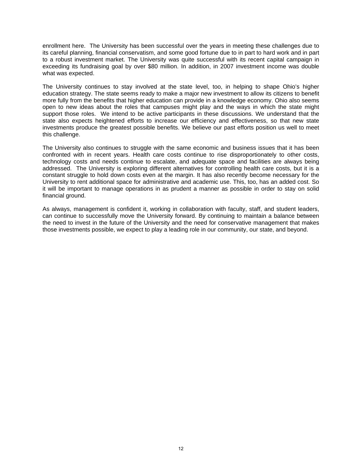enrollment here. The University has been successful over the years in meeting these challenges due to its careful planning, financial conservatism, and some good fortune due to in part to hard work and in part to a robust investment market. The University was quite successful with its recent capital campaign in exceeding its fundraising goal by over \$80 million. In addition, in 2007 investment income was double what was expected.

The University continues to stay involved at the state level, too, in helping to shape Ohio's higher education strategy. The state seems ready to make a major new investment to allow its citizens to benefit more fully from the benefits that higher education can provide in a knowledge economy. Ohio also seems open to new ideas about the roles that campuses might play and the ways in which the state might support those roles. We intend to be active participants in these discussions. We understand that the state also expects heightened efforts to increase our efficiency and effectiveness, so that new state investments produce the greatest possible benefits. We believe our past efforts position us well to meet this challenge.

The University also continues to struggle with the same economic and business issues that it has been confronted with in recent years. Health care costs continue to rise disproportionately to other costs, technology costs and needs continue to escalate, and adequate space and facilities are always being addressed. The University is exploring different alternatives for controlling health care costs, but it is a constant struggle to hold down costs even at the margin. It has also recently become necessary for the University to rent additional space for administrative and academic use. This, too, has an added cost. So it will be important to manage operations in as prudent a manner as possible in order to stay on solid financial ground.

As always, management is confident it, working in collaboration with faculty, staff, and student leaders, can continue to successfully move the University forward. By continuing to maintain a balance between the need to invest in the future of the University and the need for conservative management that makes those investments possible, we expect to play a leading role in our community, our state, and beyond.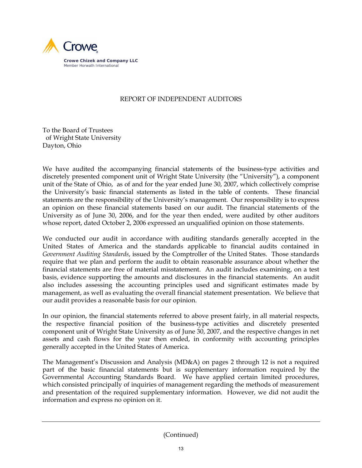

# REPORT OF INDEPENDENT AUDITORS

To the Board of Trustees of Wright State University Dayton, Ohio

We have audited the accompanying financial statements of the business-type activities and discretely presented component unit of Wright State University (the "University"), a component unit of the State of Ohio, as of and for the year ended June 30, 2007, which collectively comprise the University's basic financial statements as listed in the table of contents. These financial statements are the responsibility of the University's management. Our responsibility is to express an opinion on these financial statements based on our audit. The financial statements of the University as of June 30, 2006, and for the year then ended, were audited by other auditors whose report, dated October 2, 2006 expressed an unqualified opinion on those statements.

We conducted our audit in accordance with auditing standards generally accepted in the United States of America and the standards applicable to financial audits contained in *Government Auditing Standards*, issued by the Comptroller of the United States. Those standards require that we plan and perform the audit to obtain reasonable assurance about whether the financial statements are free of material misstatement. An audit includes examining, on a test basis, evidence supporting the amounts and disclosures in the financial statements. An audit also includes assessing the accounting principles used and significant estimates made by management, as well as evaluating the overall financial statement presentation. We believe that our audit provides a reasonable basis for our opinion.

In our opinion, the financial statements referred to above present fairly, in all material respects, the respective financial position of the business-type activities and discretely presented component unit of Wright State University as of June 30, 2007, and the respective changes in net assets and cash flows for the year then ended, in conformity with accounting principles generally accepted in the United States of America.

The Management's Discussion and Analysis (MD&A) on pages 2 through 12 is not a required part of the basic financial statements but is supplementary information required by the Governmental Accounting Standards Board. We have applied certain limited procedures, which consisted principally of inquiries of management regarding the methods of measurement and presentation of the required supplementary information. However, we did not audit the information and express no opinion on it.

(Continued)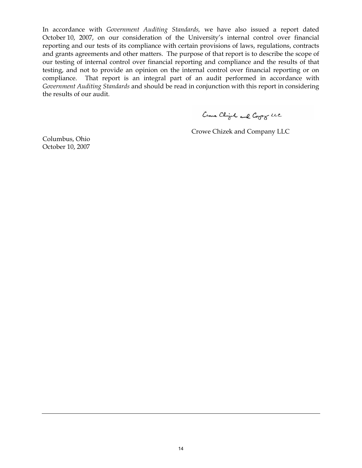In accordance with *Government Auditing Standards,* we have also issued a report dated October 10, 2007, on our consideration of the University's internal control over financial reporting and our tests of its compliance with certain provisions of laws, regulations, contracts and grants agreements and other matters. The purpose of that report is to describe the scope of our testing of internal control over financial reporting and compliance and the results of that testing, and not to provide an opinion on the internal control over financial reporting or on compliance. That report is an integral part of an audit performed in accordance with *Government Auditing Standards* and should be read in conjunction with this report in considering the results of our audit.

Come Chigh and Copy LCC

Crowe Chizek and Company LLC

Columbus, Ohio October 10, 2007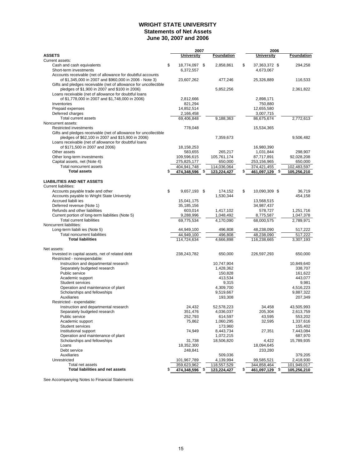## **WRIGHT STATE UNIVERSITY Statements of Net Assets June 30, 2007 and 2006**

|                                                                                                        | 2007                     |                    |    | 2006                     |                    |
|--------------------------------------------------------------------------------------------------------|--------------------------|--------------------|----|--------------------------|--------------------|
| <b>ASSETS</b>                                                                                          | <b>University</b>        | Foundation         |    | <b>University</b>        | <b>Foundation</b>  |
| Current assets:                                                                                        |                          |                    |    |                          |                    |
| Cash and cash equivalents                                                                              | \$<br>18,774,097 \$      | 2,858,861          | \$ | 37,363,372 \$            | 294,258            |
| Short-term investments                                                                                 | 6,372,557                |                    |    | 4,673,067                |                    |
| Accounts receivable (net of allowance for doubtful accounts                                            |                          |                    |    |                          |                    |
| of \$1,345,000 in 2007 and \$960,000 in 2006 - Note 3)                                                 | 23,607,262               | 477,246            |    | 25,326,889               | 116,533            |
| Gifts and pledges receivable (net of allowance for uncollectible                                       |                          |                    |    |                          |                    |
| pledges of \$1,900 in 2007 and \$100 in 2006)<br>Loans receivable (net of allowance for doubtful loans |                          | 5,852,256          |    |                          | 2,361,822          |
| of \$1,778,000 in 2007 and \$1,748,000 in 2006)                                                        | 2,812,666                |                    |    | 2,898,171                |                    |
| Inventories                                                                                            | 821,294                  |                    |    | 750,880                  |                    |
| Prepaid expenses                                                                                       | 14,852,514               |                    |    | 12,655,580               |                    |
| Deferred charges                                                                                       | 2,166,458                |                    |    | 3,007,715                |                    |
| Total current assets                                                                                   | 69,406,848               | 9,188,363          |    | 86,675,674               | 2,772,613          |
| Noncurrent assets:                                                                                     |                          |                    |    |                          |                    |
| <b>Restricted investments</b>                                                                          | 778,048                  |                    |    | 15,534,365               |                    |
| Gifts and pledges receivable (net of allowance for uncollectible                                       |                          |                    |    |                          |                    |
| pledges of \$62,100 in 2007 and \$15,900 in 2006)                                                      |                          | 7,359,673          |    |                          | 9,506,482          |
| Loans receivable (net of allowance for doubtful loans                                                  |                          |                    |    |                          |                    |
| of \$171,500 in 2007 and 2006)                                                                         | 18,158,253               |                    |    | 16,980,390               |                    |
| Other assets                                                                                           | 583,655                  | 265,217            |    | 1,031,844                | 298,907            |
| Other long-term investments                                                                            | 109,596,615              | 105,761,174        |    | 87,717,891               | 92,028,208         |
| Capital assets, net (Note 4)                                                                           | 275,825,177              | 650,000            |    | 253,156,965              | 650,000            |
| Total noncurrent assets                                                                                | 404,941,748              | 114,036,064        |    | 374,421,455              | 102,483,597        |
| <b>Total assets</b>                                                                                    | \$<br>474,348,596        | \$<br>123,224,427  | S  | 461,097,129              | \$<br>105,256,210  |
|                                                                                                        |                          |                    |    |                          |                    |
| <b>LIABILITIES AND NET ASSETS</b>                                                                      |                          |                    |    |                          |                    |
| Current liabilities:                                                                                   |                          |                    |    |                          |                    |
| Accounts payable trade and other                                                                       | \$<br>9,657,193 \$       | 174,152            | \$ | 10,090,309 \$            | 36,719             |
| Accounts payable to Wright State University                                                            |                          | 1,530,344          |    |                          | 454,158            |
| Accrued liabili ies<br>Deferred revenue (Note 1)                                                       | 15.041.175<br>35,185,156 |                    |    | 13,568,515<br>34,987,437 |                    |
| Refunds and other liabilities                                                                          | 603,014                  | 1,417,102          |    | 578,727                  | 1,251,716          |
| Current portion of long-term liabilities (Note 5)                                                      | 9,288,996                | 1,048,492          |    | 8,775,587                | 1,047,378          |
| <b>Total current liabilities</b>                                                                       | 69,775,534               | 4,170,090          |    | 68,000,575               | 2,789,971          |
| Noncurrent liabilities:                                                                                |                          |                    |    |                          |                    |
| Long-term liabili ies (Note 5)                                                                         | 44,949,100               | 496,808            |    | 48,238,090               | 517,222            |
| <b>Total noncurrent liabilities</b>                                                                    | 44,949,100               | 496,808            |    | 48,238,090               | 517,222            |
| <b>Total liabilities</b>                                                                               | 114,724,634              | 4,666,898          |    | 116,238,665              | 3,307,193          |
|                                                                                                        |                          |                    |    |                          |                    |
| Net assets:                                                                                            |                          |                    |    |                          |                    |
| Invested in capital assets, net of related debt                                                        | 238,243,782              | 650,000            |    | 226,597,293              | 650,000            |
| Restricted - nonexpendable:                                                                            |                          |                    |    |                          |                    |
| Instruction and departmental research                                                                  |                          | 10,747,904         |    |                          | 10,849,640         |
| Separately budgeted research                                                                           |                          | 1,428,362          |    |                          | 338,707            |
| Public service                                                                                         |                          | 150,828            |    |                          | 161,622            |
| Academic support                                                                                       |                          | 413,534            |    |                          | 443,077            |
| <b>Student services</b><br>Operation and maintenance of plant                                          |                          | 9,315<br>4,309,700 |    |                          | 9,981<br>4,516,223 |
| Scholarships and fellowships                                                                           |                          | 9,519,667          |    |                          | 9,887,322          |
| Auxiliaries                                                                                            |                          | 193,308            |    |                          | 207,349            |
| Restricted - expendable:                                                                               |                          |                    |    |                          |                    |
| Instruction and departmental research                                                                  | 24.432                   | 52,578,223         |    | 34,458                   | 43,505,993         |
| Separately budgeted research                                                                           | 351,476                  | 4,036,037          |    | 205,304                  | 2,613,759          |
| Public service                                                                                         | 252,793                  | 614,597            |    | 43,595                   | 553,202            |
| Academic support                                                                                       | 75,862                   | 1,060,295          |    | 32,595                   | 1,337,616          |
| Student services                                                                                       |                          | 173,960            |    |                          | 155,402            |
| Institutional support                                                                                  | 74,949                   | 8,443,734          |    | 27,351                   | 7,443,084          |
| Operation and maintenance of plant                                                                     |                          | 1,072,215          |    |                          | 687,970            |
| Scholarships and fellowships                                                                           | 31,738                   | 18,506,820         |    | 4,422                    | 15,789,935         |
| Loans                                                                                                  | 18,352,300               |                    |    | 18,094,645               |                    |
| Debt service                                                                                           | 248,841                  |                    |    | 233,280                  |                    |
| Auxiliaries                                                                                            |                          | 509,036            |    |                          | 379,205            |
| Unrestricted                                                                                           | 101,967,789              | 4,139,994          |    | 99,585,521               | 2,418,930          |
| Total net assets                                                                                       | 359,623,962              | 118,557,529        |    | 344,858,464              | 101,949,017        |
| <b>Total liabilities and net assets</b>                                                                | \$<br>474,348,596        | \$<br>123,224,427  | \$ | 461,097,129              | \$<br>105,256,210  |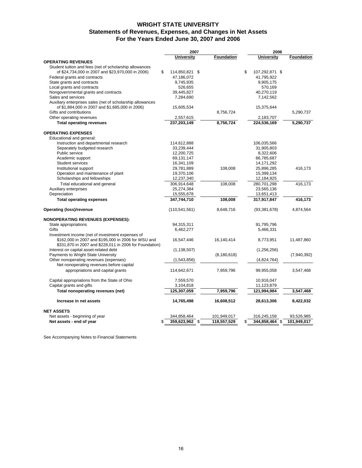## **WRIGHT STATE UNIVERSITY For the Years Ended June 30, 2007 and 2006 Statements of Revenues, Expenses, and Changes in Net Assets**

|                                                                                                                | 2007                 |  |                   | 2006                 |             |  |
|----------------------------------------------------------------------------------------------------------------|----------------------|--|-------------------|----------------------|-------------|--|
|                                                                                                                | University           |  | <b>Foundation</b> | <b>University</b>    | Foundation  |  |
| <b>OPERATING REVENUES</b>                                                                                      |                      |  |                   |                      |             |  |
| Student tuition and fees (net of scholarship allowances                                                        |                      |  |                   |                      |             |  |
| of \$24,734,000 in 2007 and \$23,970,000 in 2006)                                                              | \$<br>114,850,821 \$ |  |                   | \$<br>107,292,871 \$ |             |  |
| Federal grants and contracts                                                                                   | 47,186,072           |  |                   | 41,795,922           |             |  |
| State grants and contracts                                                                                     | 9,745,935            |  |                   | 9,905,175            |             |  |
| Local grants and contracts                                                                                     | 526,655              |  |                   | 570,169              |             |  |
| Nongovernmental grants and contracts                                                                           | 39,445,827           |  |                   | 40,270,119           |             |  |
| Sales and services                                                                                             | 7,284,690            |  |                   | 7,142,562            |             |  |
| Auxiliary enterprises sales (net of scholarship allowances                                                     |                      |  |                   |                      |             |  |
| of \$1,884,000 in 2007 and \$1,685,000 in 2006)                                                                | 15,605,534           |  |                   | 15,375,644           |             |  |
| Gifts and contributions                                                                                        |                      |  | 8,756,724         |                      | 5,290,737   |  |
| Other operating revenues                                                                                       | 2,557,615            |  |                   | 2,183,707            |             |  |
| <b>Total operating revenues</b>                                                                                | 237,203,149          |  | 8,756,724         | 224,536,169          | 5,290,737   |  |
| <b>OPERATING EXPENSES</b>                                                                                      |                      |  |                   |                      |             |  |
| Educational and general:                                                                                       |                      |  |                   |                      |             |  |
| Instruction and departmental research                                                                          | 114,612,888          |  |                   | 106,035,566          |             |  |
| Separately budgeted research                                                                                   | 33,239,444           |  |                   | 31,905,803           |             |  |
| Public service                                                                                                 | 12,200,725           |  |                   | 8,322,606            |             |  |
| Academic support                                                                                               | 69,131,147           |  |                   | 66,785,687           |             |  |
| <b>Student services</b>                                                                                        | 16,341,109           |  |                   | 14, 171, 292         |             |  |
| Institutional support                                                                                          | 29,781,889           |  | 108,008           | 25,896,285           | 416,173     |  |
| Operation and maintenance of plant                                                                             | 19,370,106           |  |                   | 15,399,134           |             |  |
| Scholarships and fellowships                                                                                   | 12,237,340           |  |                   | 12,184,925           |             |  |
| Total educational and general                                                                                  | 306,914,648          |  | 108,008           | 280,701,298          | 416,173     |  |
| Auxiliary enterprises                                                                                          | 25,274,384           |  |                   | 23,565,136           |             |  |
| Depreciation                                                                                                   | 15,555,678           |  |                   | 13,651,413           |             |  |
| <b>Total operating expenses</b>                                                                                | 347,744,710          |  | 108,008           | 317,917,847          | 416,173     |  |
|                                                                                                                |                      |  |                   |                      |             |  |
| <b>Operating (loss)/revenue</b>                                                                                | (110, 541, 561)      |  | 8,648,716         | (93, 381, 678)       | 4,874,564   |  |
| <b>NONOPERATING REVENUES (EXPENSES):</b>                                                                       |                      |  |                   |                      |             |  |
| State appropriations                                                                                           | 94,315,311           |  |                   | 91,795,796           |             |  |
| Gifts                                                                                                          | 6,462,277            |  |                   | 5,466,331            |             |  |
| Investment income (net of investment expenses of                                                               |                      |  |                   |                      |             |  |
| \$162,000 in 2007 and \$195,000 in 2006 for WSU and<br>\$331,870 in 2007 and \$228,011 in 2006 for Foundation) | 16,547,446           |  | 16,140,414        | 8,773,951            | 11,487,860  |  |
| Interest on capital asset-related debt                                                                         | (1, 138, 507)        |  |                   | (1,256,256)          |             |  |
| Payments to Wright State University                                                                            |                      |  | (8, 180, 618)     |                      | (7,940,392) |  |
| Other nonoperating revenues (expenses)                                                                         | (1,543,856)          |  |                   | (4,824,764)          |             |  |
| Net nonoperating revenues before capital                                                                       |                      |  |                   |                      |             |  |
| appropriations and capital grants                                                                              | 114,642,671          |  | 7,959,796         | 99,955,058           | 3,547,468   |  |
| Capital appropriations from the State of Ohio                                                                  | 7,559,570            |  |                   | 10,916,047           |             |  |
| Capital grants and gifts                                                                                       | 3,104,818            |  |                   | 11,123,879           |             |  |
| Total nonoperating revenues (net)                                                                              | 125,307,059          |  | 7,959,796         | 121,994,984          | 3,547,468   |  |
|                                                                                                                |                      |  |                   |                      |             |  |
| Increase in net assets                                                                                         | 14,765,498           |  | 16,608,512        | 28,613,306           | 8,422,032   |  |
| <b>NET ASSETS</b>                                                                                              |                      |  |                   |                      |             |  |
| Net assets - beginning of year                                                                                 | 344,858,464          |  | 101,949,017       | 316,245,158          | 93,526,985  |  |
| Net assets - end of year                                                                                       | \$<br>359,623,962 \$ |  | 118,557,529       | \$<br>344,858,464 \$ | 101,949,017 |  |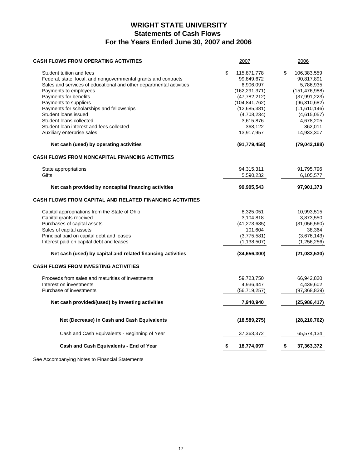# **WRIGHT STATE UNIVERSITY Statements of Cash Flows For the Years Ended June 30, 2007 and 2006**

| <b>CASH FLOWS FROM OPERATING ACTIVITIES</b>                                                                                                                                                                                                                                                                                                                                                                             | 2007                                                                                                                                                                      | 2006                                                                                                                                                                   |
|-------------------------------------------------------------------------------------------------------------------------------------------------------------------------------------------------------------------------------------------------------------------------------------------------------------------------------------------------------------------------------------------------------------------------|---------------------------------------------------------------------------------------------------------------------------------------------------------------------------|------------------------------------------------------------------------------------------------------------------------------------------------------------------------|
| Student tuition and fees<br>Federal, state, local, and nongovernmental grants and contracts<br>Sales and services of educational and other departmental activities<br>Payments to employees<br>Payments for benefits<br>Payments to suppliers<br>Payments for scholarships and fellowships<br>Student loans issued<br>Student loans collected<br>Student loan interest and fees collected<br>Auxiliary enterprise sales | \$<br>115,871,778<br>99,849,672<br>6,906,097<br>(162, 291, 371)<br>(47, 782, 212)<br>(104, 841, 762)<br>(12,685,381)<br>(4,708,234)<br>3,615,876<br>368,122<br>13,917,957 | \$<br>106,383,559<br>90,817,891<br>5,786,935<br>(151, 476, 988)<br>(37, 991, 223)<br>(96,310,682)<br>(11,610,146)<br>(4,615,057)<br>4,678,205<br>362,011<br>14,933,307 |
| Net cash (used) by operating activities                                                                                                                                                                                                                                                                                                                                                                                 | (91, 779, 458)                                                                                                                                                            | (79,042,188)                                                                                                                                                           |
| CASH FLOWS FROM NONCAPITAL FINANCING ACTIVITIES                                                                                                                                                                                                                                                                                                                                                                         |                                                                                                                                                                           |                                                                                                                                                                        |
| State appropriations<br>Gifts                                                                                                                                                                                                                                                                                                                                                                                           | 94,315,311<br>5,590,232                                                                                                                                                   | 91,795,796<br>6,105,577                                                                                                                                                |
| Net cash provided by noncapital financing activities                                                                                                                                                                                                                                                                                                                                                                    | 99,905,543                                                                                                                                                                | 97,901,373                                                                                                                                                             |
| <b>CASH FLOWS FROM CAPITAL AND RELATED FINANCING ACTIVITIES</b>                                                                                                                                                                                                                                                                                                                                                         |                                                                                                                                                                           |                                                                                                                                                                        |
| Capital appropriations from the State of Ohio<br>Capital grants received<br>Purchases of capital assets<br>Sales of capital assets<br>Principal paid on capital debt and leases<br>Interest paid on capital debt and leases                                                                                                                                                                                             | 8,325,051<br>3,104,818<br>(41, 273, 685)<br>101,604<br>(3,775,581)<br>(1, 138, 507)                                                                                       | 10,993,515<br>3,873,550<br>(31,056,560)<br>38,364<br>(3,676,143)<br>(1, 256, 256)                                                                                      |
| Net cash (used) by capital and related financing activities                                                                                                                                                                                                                                                                                                                                                             | (34,656,300)                                                                                                                                                              | (21,083,530)                                                                                                                                                           |
| <b>CASH FLOWS FROM INVESTING ACTIVITIES</b>                                                                                                                                                                                                                                                                                                                                                                             |                                                                                                                                                                           |                                                                                                                                                                        |
| Proceeds from sales and maturities of investments<br>Interest on investments<br>Purchase of investments                                                                                                                                                                                                                                                                                                                 | 59,723,750<br>4,936,447<br>(56, 719, 257)                                                                                                                                 | 66,942,820<br>4,439,602<br>(97, 368, 839)                                                                                                                              |
| Net cash provided/(used) by investing activities                                                                                                                                                                                                                                                                                                                                                                        | 7,940,940                                                                                                                                                                 | (25,986,417)                                                                                                                                                           |
| Net (Decrease) in Cash and Cash Equivalents                                                                                                                                                                                                                                                                                                                                                                             | (18,589,275)                                                                                                                                                              | (28, 210, 762)                                                                                                                                                         |
| Cash and Cash Equivalents - Beginning of Year                                                                                                                                                                                                                                                                                                                                                                           | 37,363,372                                                                                                                                                                | 65,574,134                                                                                                                                                             |
| Cash and Cash Equivalents - End of Year                                                                                                                                                                                                                                                                                                                                                                                 | \$<br>18,774,097                                                                                                                                                          | \$<br>37,363,372                                                                                                                                                       |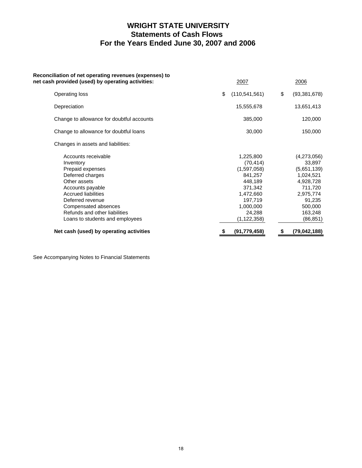# **WRIGHT STATE UNIVERSITY Statements of Cash Flows For the Years Ended June 30, 2007 and 2006**

| Reconciliation of net operating revenues (expenses) to<br>net cash provided (used) by operating activities: | 2007                   | 2006                 |
|-------------------------------------------------------------------------------------------------------------|------------------------|----------------------|
| Operating loss                                                                                              | (110, 541, 561)<br>\$. | \$<br>(93, 381, 678) |
| Depreciation                                                                                                | 15,555,678             | 13,651,413           |
| Change to allowance for doubtful accounts                                                                   | 385,000                | 120,000              |
| Change to allowance for doubtful loans                                                                      | 30,000                 | 150,000              |
| Changes in assets and liabilities:                                                                          |                        |                      |
| Accounts receivable                                                                                         | 1,225,800              | (4,273,056)          |
| Inventory                                                                                                   | (70, 414)              | 33,897               |
| Prepaid expenses                                                                                            | (1,597,058)            | (5,651,139)          |
| Deferred charges                                                                                            | 841,257                | 1,024,521            |
| Other assets                                                                                                | 448,189                | 4,928,728            |
| Accounts payable                                                                                            | 371,342                | 711,720              |
| <b>Accrued liabilities</b>                                                                                  | 1,472,660              | 2,975,774            |
| Deferred revenue                                                                                            | 197,719                | 91,235               |
| Compensated absences                                                                                        | 1,000,000              | 500,000              |
| Refunds and other liabilities                                                                               | 24,288                 | 163,248              |
| Loans to students and employees                                                                             | (1, 122, 358)          | (86, 851)            |
| Net cash (used) by operating activities                                                                     | (91, 779, 458)         | (79,042,188)<br>\$   |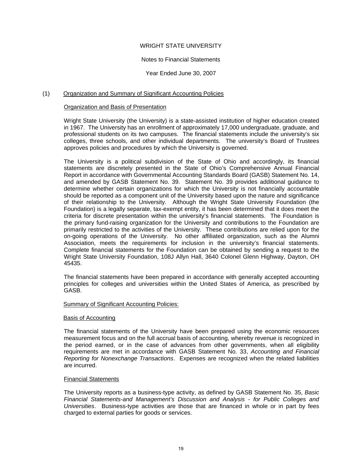## WRIGHT STATE UNIVERSITY

## Notes to Financial Statements

Year Ended June 30, 2007

## (1) Organization and Summary of Significant Accounting Policies

## Organization and Basis of Presentation

Wright State University (the University) is a state-assisted institution of higher education created in 1967. The University has an enrollment of approximately 17,000 undergraduate, graduate, and professional students on its two campuses. The financial statements include the university's six colleges, three schools, and other individual departments. The university's Board of Trustees approves policies and procedures by which the University is governed.

The University is a political subdivision of the State of Ohio and accordingly, its financial statements are discretely presented in the State of Ohio's Comprehensive Annual Financial Report in accordance with Governmental Accounting Standards Board (GASB) Statement No. 14, and amended by GASB Statement No. 39. Statement No. 39 provides additional guidance to determine whether certain organizations for which the University is not financially accountable should be reported as a component unit of the University based upon the nature and significance of their relationship to the University. Although the Wright State University Foundation (the Foundation) is a legally separate, tax-exempt entity, it has been determined that it does meet the criteria for discrete presentation within the university's financial statements. The Foundation is the primary fund-raising organization for the University and contributions to the Foundation are primarily restricted to the activities of the University. These contributions are relied upon for the on-going operations of the University. No other affiliated organization, such as the Alumni Association, meets the requirements for inclusion in the university's financial statements. Complete financial statements for the Foundation can be obtained by sending a request to the Wright State University Foundation, 108J Allyn Hall, 3640 Colonel Glenn Highway, Dayton, OH 45435.

The financial statements have been prepared in accordance with generally accepted accounting principles for colleges and universities within the United States of America, as prescribed by GASB.

## Summary of Significant Accounting Policies:

## Basis of Accounting

The financial statements of the University have been prepared using the economic resources measurement focus and on the full accrual basis of accounting, whereby revenue is recognized in the period earned, or in the case of advances from other governments, when all eligibility requirements are met in accordance with GASB Statement No. 33, *Accounting and Financial Reporting for Nonexchange Transactions*. Expenses are recognized when the related liabilities are incurred.

## Financial Statements

The University reports as a business-type activity, as defined by GASB Statement No. 35, *Basic Financial Statements-and Management's Discussion and Analysis - for Public Colleges and Universities*. Business-type activities are those that are financed in whole or in part by fees charged to external parties for goods or services.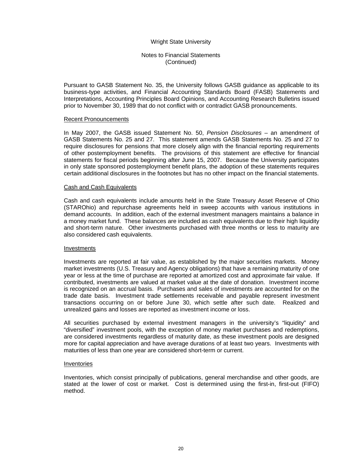## Notes to Financial Statements (Continued)

Pursuant to GASB Statement No. 35, the University follows GASB guidance as applicable to its business-type activities, and Financial Accounting Standards Board (FASB) Statements and Interpretations, Accounting Principles Board Opinions, and Accounting Research Bulletins issued prior to November 30, 1989 that do not conflict with or contradict GASB pronouncements.

#### Recent Pronouncements

In May 2007, the GASB issued Statement No. 50, *Pension Disclosures* – an amendment of GASB Statements No. 25 and 27. This statement amends GASB Statements No. 25 and 27 to require disclosures for pensions that more closely align with the financial reporting requirements of other postemployment benefits. The provisions of this statement are effective for financial statements for fiscal periods beginning after June 15, 2007. Because the University participates in only state sponsored postemployment benefit plans, the adoption of these statements requires certain additional disclosures in the footnotes but has no other impact on the financial statements.

#### Cash and Cash Equivalents

Cash and cash equivalents include amounts held in the State Treasury Asset Reserve of Ohio (STAROhio) and repurchase agreements held in sweep accounts with various institutions in demand accounts. In addition, each of the external investment managers maintains a balance in a money market fund. These balances are included as cash equivalents due to their high liquidity and short-term nature. Other investments purchased with three months or less to maturity are also considered cash equivalents.

#### Investments

Investments are reported at fair value, as established by the major securities markets. Money market investments (U.S. Treasury and Agency obligations) that have a remaining maturity of one year or less at the time of purchase are reported at amortized cost and approximate fair value. If contributed, investments are valued at market value at the date of donation. Investment income is recognized on an accrual basis. Purchases and sales of investments are accounted for on the trade date basis. Investment trade settlements receivable and payable represent investment transactions occurring on or before June 30, which settle after such date. Realized and unrealized gains and losses are reported as investment income or loss.

All securities purchased by external investment managers in the university's "liquidity" and "diversified" investment pools, with the exception of money market purchases and redemptions, are considered investments regardless of maturity date, as these investment pools are designed more for capital appreciation and have average durations of at least two years. Investments with maturities of less than one year are considered short-term or current.

## Inventories

Inventories, which consist principally of publications, general merchandise and other goods, are stated at the lower of cost or market. Cost is determined using the first-in, first-out (FIFO) method.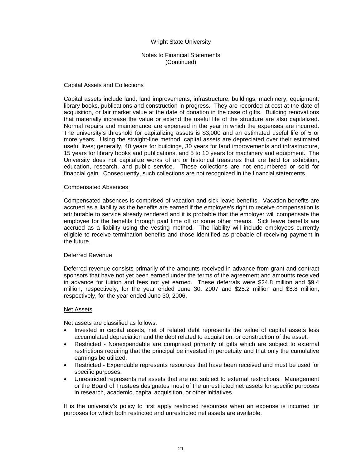## Notes to Financial Statements (Continued)

#### Capital Assets and Collections

Capital assets include land, land improvements, infrastructure, buildings, machinery, equipment, library books, publications and construction in progress. They are recorded at cost at the date of acquisition, or fair market value at the date of donation in the case of gifts. Building renovations that materially increase the value or extend the useful life of the structure are also capitalized. Normal repairs and maintenance are expensed in the year in which the expenses are incurred. The university's threshold for capitalizing assets is \$3,000 and an estimated useful life of 5 or more years. Using the straight-line method, capital assets are depreciated over their estimated useful lives; generally, 40 years for buildings, 30 years for land improvements and infrastructure, 15 years for library books and publications, and 5 to 10 years for machinery and equipment. The University does not capitalize works of art or historical treasures that are held for exhibition, education, research, and public service. These collections are not encumbered or sold for financial gain. Consequently, such collections are not recognized in the financial statements.

#### Compensated Absences

Compensated absences is comprised of vacation and sick leave benefits. Vacation benefits are accrued as a liability as the benefits are earned if the employee's right to receive compensation is attributable to service already rendered and it is probable that the employer will compensate the employee for the benefits through paid time off or some other means. Sick leave benefits are accrued as a liability using the vesting method. The liability will include employees currently eligible to receive termination benefits and those identified as probable of receiving payment in the future.

#### Deferred Revenue

Deferred revenue consists primarily of the amounts received in advance from grant and contract sponsors that have not yet been earned under the terms of the agreement and amounts received in advance for tuition and fees not yet earned. These deferrals were \$24.8 million and \$9.4 million, respectively, for the year ended June 30, 2007 and \$25.2 million and \$8.8 million, respectively, for the year ended June 30, 2006.

#### Net Assets

Net assets are classified as follows:

- Invested in capital assets, net of related debt represents the value of capital assets less accumulated depreciation and the debt related to acquisition, or construction of the asset.
- Restricted Nonexpendable are comprised primarily of gifts which are subject to external restrictions requiring that the principal be invested in perpetuity and that only the cumulative earnings be utilized.
- Restricted Expendable represents resources that have been received and must be used for specific purposes.
- Unrestricted represents net assets that are not subject to external restrictions. Management or the Board of Trustees designates most of the unrestricted net assets for specific purposes in research, academic, capital acquisition, or other initiatives.

 It is the university's policy to first apply restricted resources when an expense is incurred for purposes for which both restricted and unrestricted net assets are available.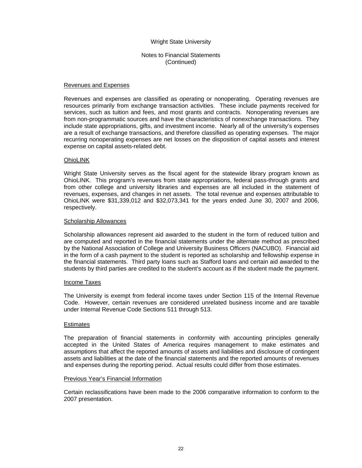Notes to Financial Statements (Continued)

#### Revenues and Expenses

Revenues and expenses are classified as operating or nonoperating. Operating revenues are resources primarily from exchange transaction activities. These include payments received for services, such as tuition and fees, and most grants and contracts. Nonoperating revenues are from non-programmatic sources and have the characteristics of nonexchange transactions. They include state appropriations, gifts, and investment income. Nearly all of the university's expenses are a result of exchange transactions, and therefore classified as operating expenses. The major recurring nonoperating expenses are net losses on the disposition of capital assets and interest expense on capital assets-related debt.

#### OhioLINK

Wright State University serves as the fiscal agent for the statewide library program known as OhioLINK. This program's revenues from state appropriations, federal pass-through grants and from other college and university libraries and expenses are all included in the statement of revenues, expenses, and changes in net assets. The total revenue and expenses attributable to OhioLINK were \$31,339,012 and \$32,073,341 for the years ended June 30, 2007 and 2006, respectively.

#### Scholarship Allowances

Scholarship allowances represent aid awarded to the student in the form of reduced tuition and are computed and reported in the financial statements under the alternate method as prescribed by the National Association of College and University Business Officers (NACUBO). Financial aid in the form of a cash payment to the student is reported as scholarship and fellowship expense in the financial statements. Third party loans such as Stafford loans and certain aid awarded to the students by third parties are credited to the student's account as if the student made the payment.

#### Income Taxes

The University is exempt from federal income taxes under Section 115 of the Internal Revenue Code. However, certain revenues are considered unrelated business income and are taxable under Internal Revenue Code Sections 511 through 513.

#### Estimates

The preparation of financial statements in conformity with accounting principles generally accepted in the United States of America requires management to make estimates and assumptions that affect the reported amounts of assets and liabilities and disclosure of contingent assets and liabilities at the date of the financial statements and the reported amounts of revenues and expenses during the reporting period. Actual results could differ from those estimates.

#### Previous Year's Financial Information

Certain reclassifications have been made to the 2006 comparative information to conform to the 2007 presentation.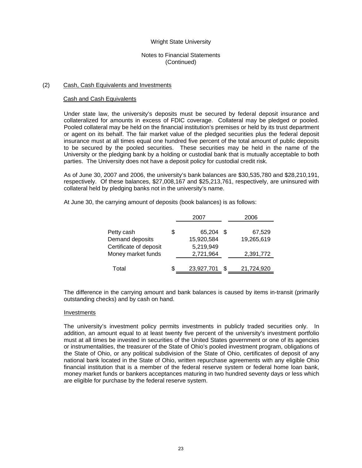## Notes to Financial Statements (Continued)

### (2) Cash, Cash Equivalents and Investments

#### Cash and Cash Equivalents

Under state law, the university's deposits must be secured by federal deposit insurance and collateralized for amounts in excess of FDIC coverage. Collateral may be pledged or pooled. Pooled collateral may be held on the financial institution's premises or held by its trust department or agent on its behalf. The fair market value of the pledged securities plus the federal deposit insurance must at all times equal one hundred five percent of the total amount of public deposits to be secured by the pooled securities. These securities may be held in the name of the University or the pledging bank by a holding or custodial bank that is mutually acceptable to both parties. The University does not have a deposit policy for custodial credit risk.

As of June 30, 2007 and 2006, the university's bank balances are \$30,535,780 and \$28,210,191, respectively. Of these balances, \$27,008,167 and \$25,213,761, respectively, are uninsured with collateral held by pledging banks not in the university's name.

At June 30, the carrying amount of deposits (book balances) is as follows:

|                        |    | 2007       |      | 2006       |
|------------------------|----|------------|------|------------|
|                        | S. |            | - \$ |            |
| Petty cash             |    | 65,204     |      | 67,529     |
| Demand deposits        |    | 15,920,584 |      | 19,265,619 |
| Certificate of deposit |    | 5,219,949  |      |            |
| Money market funds     |    | 2,721,964  |      | 2,391,772  |
|                        |    |            |      |            |
| Total                  | S. | 23,927,701 |      | 21,724,920 |

The difference in the carrying amount and bank balances is caused by items in-transit (primarily outstanding checks) and by cash on hand.

#### Investments

The university's investment policy permits investments in publicly traded securities only. In addition, an amount equal to at least twenty five percent of the university's investment portfolio must at all times be invested in securities of the United States government or one of its agencies or instrumentalities, the treasurer of the State of Ohio's pooled investment program, obligations of the State of Ohio, or any political subdivision of the State of Ohio, certificates of deposit of any national bank located in the State of Ohio, written repurchase agreements with any eligible Ohio financial institution that is a member of the federal reserve system or federal home loan bank, money market funds or bankers acceptances maturing in two hundred seventy days or less which are eligible for purchase by the federal reserve system.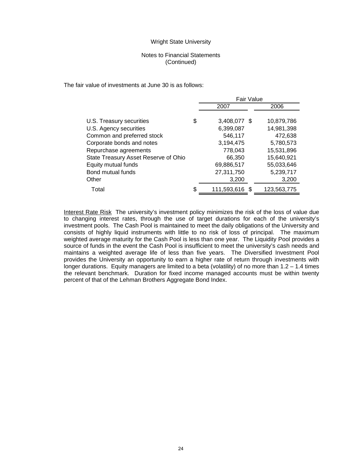## Notes to Financial Statements (Continued)

The fair value of investments at June 30 is as follows:

|                                      | <b>Fair Value</b>    |             |
|--------------------------------------|----------------------|-------------|
|                                      | 2007                 | 2006        |
|                                      |                      |             |
| U.S. Treasury securities             | \$<br>3,408,077 \$   | 10,879,786  |
| U.S. Agency securities               | 6,399,087            | 14,981,398  |
| Common and preferred stock           | 546,117              | 472,638     |
| Corporate bonds and notes            | 3,194,475            | 5,780,573   |
| Repurchase agreements                | 778,043              | 15,531,896  |
| State Treasury Asset Reserve of Ohio | 66,350               | 15,640,921  |
| Equity mutual funds                  | 69,886,517           | 55,033,646  |
| Bond mutual funds                    | 27,311,750           | 5,239,717   |
| Other                                | 3,200                | 3,200       |
| Total                                | \$<br>111,593,616 \$ | 123.563.775 |

Interest Rate Risk The university's investment policy minimizes the risk of the loss of value due to changing interest rates, through the use of target durations for each of the university's investment pools. The Cash Pool is maintained to meet the daily obligations of the University and consists of highly liquid instruments with little to no risk of loss of principal. The maximum weighted average maturity for the Cash Pool is less than one year. The Liquidity Pool provides a source of funds in the event the Cash Pool is insufficient to meet the university's cash needs and maintains a weighted average life of less than five years. The Diversified Investment Pool provides the University an opportunity to earn a higher rate of return through investments with longer durations. Equity managers are limited to a beta (volatility) of no more than  $1.2 - 1.4$  times the relevant benchmark. Duration for fixed income managed accounts must be within twenty percent of that of the Lehman Brothers Aggregate Bond Index.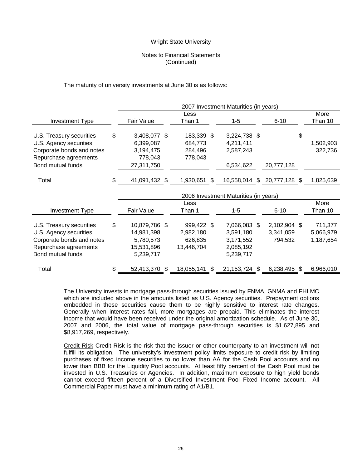## Notes to Financial Statements (Continued)

The maturity of university investments at June 30 is as follows:

|                           |                     |                  | 2007 Investment Maturities (in years) |                             |    |           |
|---------------------------|---------------------|------------------|---------------------------------------|-----------------------------|----|-----------|
|                           |                     | Less             |                                       |                             |    | More      |
| <b>Investment Type</b>    | Fair Value          | Than 1           | $1 - 5$                               | $6 - 10$                    |    | Than 10   |
| U.S. Treasury securities  | \$<br>3,408,077 \$  | 183,339 \$       | 3,224,738 \$                          |                             | \$ |           |
| U.S. Agency securities    | 6,399,087           | 684,773          | 4,211,411                             |                             |    | 1,502,903 |
| Corporate bonds and notes | 3,194,475           | 284,496          | 2,587,243                             |                             |    | 322,736   |
| Repurchase agreements     | 778,043             | 778,043          |                                       |                             |    |           |
| Bond mutual funds         | 27,311,750          |                  | 6,534,622                             | 20,777,128                  |    |           |
| Total                     | \$<br>41,091,432 \$ | 1,930,651 \$     |                                       | 16,558,014 \$ 20,777,128 \$ |    | 1,825,639 |
|                           |                     |                  | 2006 Investment Maturities (in years) |                             |    |           |
|                           |                     | Less             |                                       |                             |    | More      |
| <b>Investment Type</b>    | Fair Value          | Than 1           | $1-5$                                 | $6 - 10$                    |    | Than 10   |
| U.S. Treasury securities  | \$<br>10,879,786 \$ | 999,422 \$       | 7,066,083 \$                          | 2,102,904 \$                |    | 711,377   |
| U.S. Agency securities    | 14,981,398          | 2,982,180        | 3,591,180                             | 3,341,059                   |    | 5,066,979 |
| Corporate bonds and notes | 5,780,573           | 626,835          | 3,171,552                             | 794,532                     |    | 1,187,654 |
| Repurchase agreements     | 15,531,896          | 13,446,704       | 2,085,192                             |                             |    |           |
| Bond mutual funds         | 5,239,717           |                  | 5,239,717                             |                             |    |           |
| Total                     | \$<br>52,413,370    | \$<br>18,055,141 | \$<br>21, 153, 724 \$                 | 6,238,495                   | S  | 6,966,010 |

The University invests in mortgage pass-through securities issued by FNMA, GNMA and FHLMC which are included above in the amounts listed as U.S. Agency securities. Prepayment options embedded in these securities cause them to be highly sensitive to interest rate changes. Generally when interest rates fall, more mortgages are prepaid. This eliminates the interest income that would have been received under the original amortization schedule. As of June 30, 2007 and 2006, the total value of mortgage pass-through securities is \$1,627,895 and \$8,917,269, respectively.

Credit Risk Credit Risk is the risk that the issuer or other counterparty to an investment will not fulfill its obligation. The university's investment policy limits exposure to credit risk by limiting purchases of fixed income securities to no lower than AA for the Cash Pool accounts and no lower than BBB for the Liquidity Pool accounts. At least fifty percent of the Cash Pool must be invested in U.S. Treasuries or Agencies. In addition, maximum exposure to high yield bonds cannot exceed fifteen percent of a Diversified Investment Pool Fixed Income account. All Commercial Paper must have a minimum rating of A1/B1.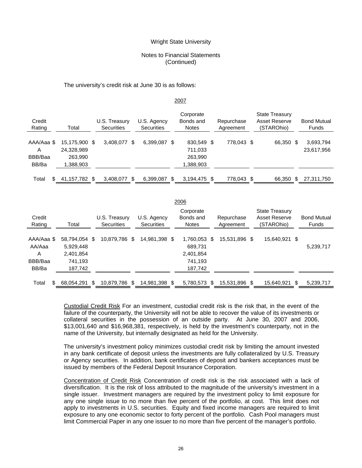## Notes to Financial Statements (Continued)

#### The university's credit risk at June 30 is as follows:

#### 2007

| Credit<br>Rating                    | Total                                               | U.S. Treasury<br><b>Securities</b> |     | U.S. Agency<br><b>Securities</b> |      | Corporate<br>Bonds and<br><b>Notes</b>        | Repurchase<br>Agreement | <b>State Treasury</b><br>Asset Reserve<br>(STAROhio) | <b>Bond Mutual</b><br>Funds |
|-------------------------------------|-----------------------------------------------------|------------------------------------|-----|----------------------------------|------|-----------------------------------------------|-------------------------|------------------------------------------------------|-----------------------------|
| AAA/Aaa \$<br>Α<br>BBB/Baa<br>BB/Ba | 15.175.900 \$<br>24,328,989<br>263.990<br>:388,903. | 3,408,077                          | \$. | 6.399.087                        | - \$ | 830,549 \$<br>711,033<br>263,990<br>1,388,903 | 778,043 \$              | 66,350 \$                                            | 3,693,794<br>23,617,956     |
| Total                               | 41,157,782 \$                                       | 3,408,077                          |     | 6,399,087                        |      | 3,194,475 \$                                  | 778,043 \$              | 66,350                                               | 27,311,750                  |

|                                               |                                                               |                             |                                  | 2006                                                       |                         |                                                      |                             |
|-----------------------------------------------|---------------------------------------------------------------|-----------------------------|----------------------------------|------------------------------------------------------------|-------------------------|------------------------------------------------------|-----------------------------|
| Credit<br>Rating                              | Total                                                         | U.S. Treasury<br>Securities | U.S. Agency<br><b>Securities</b> | Corporate<br>Bonds and<br><b>Notes</b>                     | Repurchase<br>Agreement | <b>State Treasury</b><br>Asset Reserve<br>(STAROhio) | <b>Bond Mutual</b><br>Funds |
| AAA/Aaa \$<br>AA/Aaa<br>A<br>BBB/Baa<br>BB/Ba | 58.794.054 \$<br>5,929,448<br>2,401,854<br>741,193<br>187,742 | 10,879,786 \$               | 14.981.398 \$                    | 1.760.053 \$<br>689,731<br>2,401,854<br>741,193<br>187,742 | 15.531.896 \$           | 15,640,921 \$                                        | 5,239,717                   |
| \$.<br>Total                                  | 68.054.291 \$                                                 | 10.879.786 \$               | 14.981.398 \$                    | 5.780.573 \$                                               | 15.531.896 \$           | 15.640.921 \$                                        | 5.239.717                   |

Custodial Credit Risk For an investment, custodial credit risk is the risk that, in the event of the failure of the counterparty, the University will not be able to recover the value of its investments or collateral securities in the possession of an outside party. At June 30, 2007 and 2006, \$13,001,640 and \$16,968,381, respectively, is held by the investment's counterparty, not in the name of the University, but internally designated as held for the University.

The university's investment policy minimizes custodial credit risk by limiting the amount invested in any bank certificate of deposit unless the investments are fully collateralized by U.S. Treasury or Agency securities. In addition, bank certificates of deposit and bankers acceptances must be issued by members of the Federal Deposit Insurance Corporation.

Concentration of Credit Risk Concentration of credit risk is the risk associated with a lack of diversification. It is the risk of loss attributed to the magnitude of the university's investment in a single issuer. Investment managers are required by the investment policy to limit exposure for any one single issue to no more than five percent of the portfolio, at cost. This limit does not apply to investments in U.S. securities. Equity and fixed income managers are required to limit exposure to any one economic sector to forty percent of the portfolio. Cash Pool managers must limit Commercial Paper in any one issuer to no more than five percent of the manager's portfolio.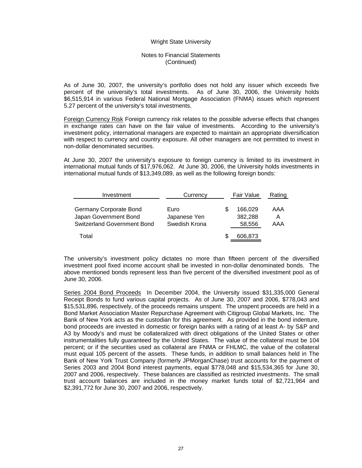## Notes to Financial Statements (Continued)

As of June 30, 2007, the university's portfolio does not hold any issuer which exceeds five percent of the university's total investments. As of June 30, 2006, the University holds \$6,515,914 in various Federal National Mortgage Association (FNMA) issues which represent 5.27 percent of the university's total investments.

Foreign Currency Risk Foreign currency risk relates to the possible adverse effects that changes in exchange rates can have on the fair value of investments. According to the university's investment policy, international managers are expected to maintain an appropriate diversification with respect to currency and country exposure. All other managers are not permitted to invest in non-dollar denominated securities.

At June 30, 2007 the university's exposure to foreign currency is limited to its investment in international mutual funds of \$17,976,062. At June 30, 2006, the University holds investments in international mutual funds of \$13,349,089, as well as the following foreign bonds:

| Investment                                                                            | Currency                              | Fair Value                   | Rating          |
|---------------------------------------------------------------------------------------|---------------------------------------|------------------------------|-----------------|
| Germany Corporate Bond<br>Japan Government Bond<br><b>Switzerland Government Bond</b> | Euro<br>Japanese Yen<br>Swedish Krona | 166.029<br>382.288<br>58,556 | AAA<br>A<br>AAA |
| Total                                                                                 |                                       | 606,873                      |                 |

The university's investment policy dictates no more than fifteen percent of the diversified investment pool fixed income account shall be invested in non-dollar denominated bonds. The above mentioned bonds represent less than five percent of the diversified investment pool as of June 30, 2006.

Series 2004 Bond Proceeds In December 2004, the University issued \$31,335,000 General Receipt Bonds to fund various capital projects. As of June 30, 2007 and 2006, \$778,043 and \$15,531,896, respectively, of the proceeds remains unspent. The unspent proceeds are held in a Bond Market Association Master Repurchase Agreement with Citigroup Global Markets, Inc. The Bank of New York acts as the custodian for this agreement. As provided in the bond indenture, bond proceeds are invested in domestic or foreign banks with a rating of at least A- by S&P and A3 by Moody's and must be collateralized with direct obligations of the United States or other instrumentalities fully guaranteed by the United States. The value of the collateral must be 104 percent; or if the securities used as collateral are FNMA or FHLMC, the value of the collateral must equal 105 percent of the assets. These funds, in addition to small balances held in The Bank of New York Trust Company (formerly JPMorganChase) trust accounts for the payment of Series 2003 and 2004 Bond interest payments, equal \$778,048 and \$15,534,365 for June 30, 2007 and 2006, respectively. These balances are classified as restricted investments. The small trust account balances are included in the money market funds total of \$2,721,964 and \$2,391,772 for June 30, 2007 and 2006, respectively.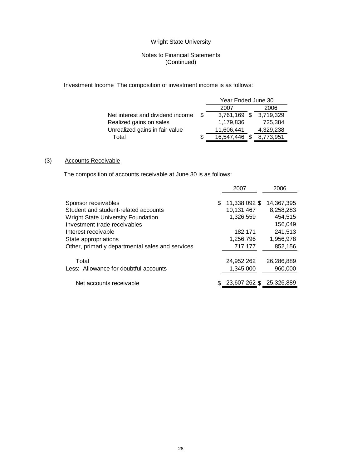## Notes to Financial Statements (Continued)

Investment Income The composition of investment income is as follows:

|                                  |     | Year Ended June 30 |  |                        |  |  |  |  |
|----------------------------------|-----|--------------------|--|------------------------|--|--|--|--|
|                                  |     | 2007               |  | 2006                   |  |  |  |  |
| Net interest and dividend income | \$. |                    |  | 3,761,169 \$ 3,719,329 |  |  |  |  |
| Realized gains on sales          |     | 1,179,836          |  | 725.384                |  |  |  |  |
| Unrealized gains in fair value   |     | 11,606,441         |  | 4,329,238              |  |  |  |  |
| Total                            |     | 16,547,446         |  | 8.773.951              |  |  |  |  |

## (3) Accounts Receivable

The composition of accounts receivable at June 30 is as follows:

|                                                                           |   | 2007                        | 2006                    |
|---------------------------------------------------------------------------|---|-----------------------------|-------------------------|
| Sponsor receivables<br>Student and student-related accounts               | S | 11,338,092 \$<br>10,131,467 | 14,367,395<br>8,258,283 |
| <b>Wright State University Foundation</b><br>Investment trade receivables |   | 1,326,559                   | 454,515<br>156,049      |
| Interest receivable<br>State appropriations                               |   | 182,171<br>1,256,796        | 241,513<br>1,956,978    |
| Other, primarily departmental sales and services                          |   | 717,177                     | 852,156                 |
| Total<br>Less: Allowance for doubtful accounts                            |   | 24,952,262<br>1,345,000     | 26,286,889<br>960,000   |
| Net accounts receivable                                                   |   | 23,607,262 \$               | 25,326,889              |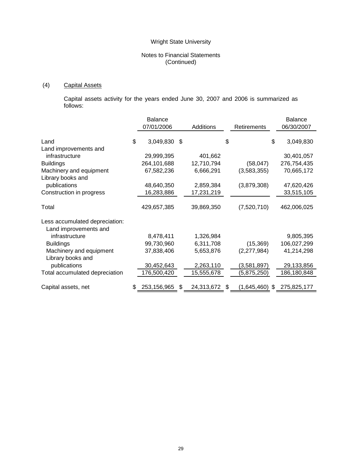## Notes to Financial Statements (Continued)

# (4) Capital Assets

 Capital assets activity for the years ended June 30, 2007 and 2006 is summarized as follows:

|                                | <b>Balance</b>    |     |            |                   | <b>Balance</b>    |
|--------------------------------|-------------------|-----|------------|-------------------|-------------------|
|                                | 07/01/2006        |     | Additions  | Retirements       | 06/30/2007        |
|                                |                   |     |            |                   |                   |
| Land                           | \$<br>3,049,830   | -\$ |            | \$                | \$<br>3,049,830   |
| Land improvements and          |                   |     |            |                   |                   |
| infrastructure                 | 29,999,395        |     | 401,662    |                   | 30,401,057        |
| <b>Buildings</b>               | 264,101,688       |     | 12,710,794 | (58, 047)         | 276,754,435       |
| Machinery and equipment        | 67,582,236        |     | 6,666,291  | (3,583,355)       | 70,665,172        |
| Library books and              |                   |     |            |                   |                   |
| publications                   | 48,640,350        |     | 2,859,384  | (3,879,308)       | 47,620,426        |
| Construction in progress       | 16,283,886        |     | 17,231,219 |                   | 33,515,105        |
|                                |                   |     |            |                   |                   |
| Total                          | 429,657,385       |     | 39,869,350 | (7,520,710)       | 462,006,025       |
| Less accumulated depreciation: |                   |     |            |                   |                   |
| Land improvements and          |                   |     |            |                   |                   |
| infrastructure                 | 8,478,411         |     | 1,326,984  |                   | 9,805,395         |
| <b>Buildings</b>               | 99,730,960        |     | 6,311,708  | (15, 369)         | 106,027,299       |
| Machinery and equipment        | 37,838,406        |     | 5,653,876  | (2,277,984)       | 41,214,298        |
| Library books and              |                   |     |            |                   |                   |
| publications                   | 30,452,643        |     | 2,263,110  | (3,581,897)       | 29,133,856        |
| Total accumulated depreciation | 176,500,420       |     | 15,555,678 | (5,875,250)       | 186,180,848       |
|                                |                   |     |            |                   |                   |
| Capital assets, net            | \$<br>253,156,965 | \$  | 24,313,672 | \$<br>(1,645,460) | \$<br>275,825,177 |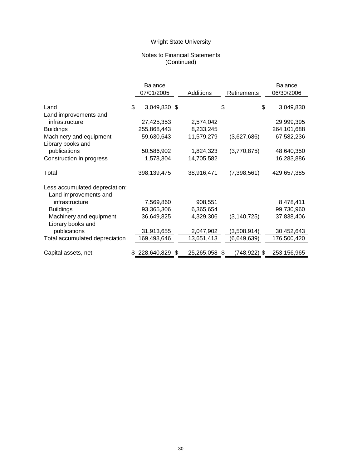## Notes to Financial Statements (Continued)

|                                |    | <b>Balance</b> |                  |    |               | <b>Balance</b>  |
|--------------------------------|----|----------------|------------------|----|---------------|-----------------|
|                                |    | 07/01/2005     | Additions        |    | Retirements   | 06/30/2006      |
| Land                           | \$ | 3,049,830 \$   |                  | \$ |               | \$<br>3,049,830 |
| Land improvements and          |    |                |                  |    |               |                 |
| infrastructure                 |    | 27,425,353     | 2,574,042        |    |               | 29,999,395      |
| <b>Buildings</b>               |    | 255,868,443    | 8,233,245        |    |               | 264,101,688     |
| Machinery and equipment        |    | 59,630,643     | 11,579,279       |    | (3,627,686)   | 67,582,236      |
| Library books and              |    |                |                  |    |               |                 |
| publications                   |    | 50,586,902     | 1,824,323        |    | (3,770,875)   | 48,640,350      |
| Construction in progress       |    | 1,578,304      | 14,705,582       |    |               | 16,283,886      |
|                                |    |                |                  |    |               |                 |
| Total                          |    | 398,139,475    | 38,916,471       |    | (7, 398, 561) | 429,657,385     |
| Less accumulated depreciation: |    |                |                  |    |               |                 |
| Land improvements and          |    |                |                  |    |               |                 |
| infrastructure                 |    | 7,569,860      | 908,551          |    |               | 8,478,411       |
| <b>Buildings</b>               |    | 93,365,306     | 6,365,654        |    |               | 99,730,960      |
| Machinery and equipment        |    | 36,649,825     | 4,329,306        |    | (3, 140, 725) | 37,838,406      |
| Library books and              |    |                |                  |    |               |                 |
| publications                   |    | 31,913,655     | 2,047,902        |    | (3,508,914)   | 30,452,643      |
| Total accumulated depreciation |    | 169,498,646    | 13,651,413       |    | (6,649,639)   | 176,500,420     |
|                                |    |                |                  |    |               |                 |
| Capital assets, net            | S  | 228,640,829    | \$<br>25,265,058 | S. | (748,922) \$  | 253,156,965     |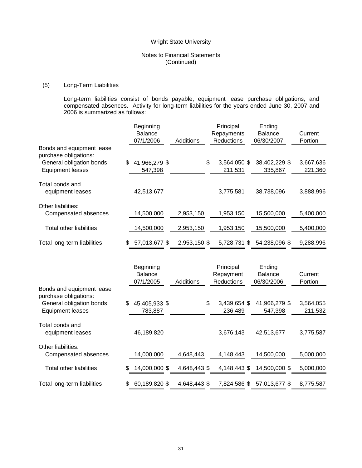## Notes to Financial Statements (Continued)

## (5) Long-Term Liabilities

Long-term liabilities consist of bonds payable, equipment lease purchase obligations, and compensated absences. Activity for long-term liabilities for the years ended June 30, 2007 and 2006 is summarized as follows:

|                                                    | Beginning           |              | Principal          | Ending         |           |
|----------------------------------------------------|---------------------|--------------|--------------------|----------------|-----------|
|                                                    | <b>Balance</b>      |              | Repayments         | <b>Balance</b> | Current   |
|                                                    | 07/1/2006           | Additions    | <b>Reductions</b>  | 06/30/2007     | Portion   |
| Bonds and equipment lease<br>purchase obligations: |                     |              |                    |                |           |
| General obligation bonds                           | \$<br>41,966,279 \$ |              | \$<br>3,564,050 \$ | 38,402,229 \$  | 3,667,636 |
| <b>Equipment leases</b>                            | 547,398             |              | 211,531            | 335.867        | 221,360   |
| Total bonds and<br>equipment leases                | 42,513,677          |              | 3,775,581          | 38,738,096     | 3,888,996 |
| Other liabilities:<br>Compensated absences         | 14,500,000          | 2,953,150    | 1,953,150          | 15,500,000     | 5,400,000 |
| <b>Total other liabilities</b>                     | 14,500,000          | 2,953,150    | 1,953,150          | 15,500,000     | 5,400,000 |
| Total long-term liabilities                        | \$<br>57,013,677 \$ | 2,953,150 \$ | 5,728,731 \$       | 54,238,096 \$  | 9,288,996 |

|                                                     | Beginning<br><b>Balance</b><br>07/1/2005 | Additions    | Principal<br>Repayment<br><b>Reductions</b> | Ending<br><b>Balance</b><br>06/30/2006 | Current<br>Portion   |
|-----------------------------------------------------|------------------------------------------|--------------|---------------------------------------------|----------------------------------------|----------------------|
| Bonds and equipment lease<br>purchase obligations:  |                                          |              |                                             |                                        |                      |
| General obligation bonds<br><b>Equipment leases</b> | \$<br>45,405,933 \$<br>783,887           |              | \$<br>3,439,654 \$<br>236,489               | 41,966,279 \$<br>547,398               | 3,564,055<br>211,532 |
| Total bonds and<br>equipment leases                 | 46,189,820                               |              | 3,676,143                                   | 42,513,677                             | 3,775,587            |
| Other liabilities:<br>Compensated absences          | 14,000,000                               | 4,648,443    | 4,148,443                                   | 14,500,000                             | 5,000,000            |
| Total other liabilities                             | \$<br>14,000,000 \$                      | 4,648,443 \$ | 4,148,443 \$                                | 14,500,000 \$                          | 5,000,000            |
| Total long-term liabilities                         | \$<br>60,189,820 \$                      | 4,648,443 \$ | 7,824,586 \$                                | 57,013,677 \$                          | 8,775,587            |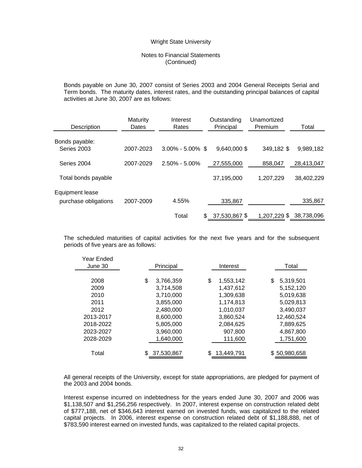## Notes to Financial Statements (Continued)

Bonds payable on June 30, 2007 consist of Series 2003 and 2004 General Receipts Serial and Term bonds. The maturity dates, interest rates, and the outstanding principal balances of capital activities at June 30, 2007 are as follows:

| Description                             | Maturity<br>Dates | Interest<br>Rates    | Outstanding<br>Principal | Unamortized<br>Premium | Total      |  |
|-----------------------------------------|-------------------|----------------------|--------------------------|------------------------|------------|--|
| Bonds payable:<br>Series 2003           | 2007-2023         | $3.00\% - 5.00\%$ \$ | 9,640,000 \$             | 349,182 \$             | 9,989,182  |  |
| Series 2004                             | 2007-2029         | $2.50\% - 5.00\%$    | 27,555,000               | 858,047                | 28,413,047 |  |
| Total bonds payable                     |                   |                      | 37,195,000               | 1.207.229              | 38,402,229 |  |
| Equipment lease<br>purchase obligations | 2007-2009         | 4.55%                | 335,867                  |                        | 335,867    |  |
|                                         |                   | Total                | 37,530,867 \$<br>\$      | 1,207,229 \$           | 38,738,096 |  |

The scheduled maturities of capital activities for the next five years and for the subsequent periods of five years are as follows:

| Year Ended<br>June 30                                          | Principal                                                                                     | Interest                                                                                      | Total                                                                                          |
|----------------------------------------------------------------|-----------------------------------------------------------------------------------------------|-----------------------------------------------------------------------------------------------|------------------------------------------------------------------------------------------------|
| 2008<br>2009<br>2010<br>2011<br>2012<br>2013-2017<br>2018-2022 | \$<br>3,766,359<br>3.714.508<br>3,710,000<br>3,855,000<br>2.480.000<br>8,600,000<br>5,805,000 | \$<br>1,553,142<br>1.437.612<br>1.309.638<br>1,174,813<br>1.010.037<br>3,860,524<br>2,084,625 | \$<br>5,319,501<br>5,152,120<br>5,019,638<br>5,029,813<br>3.490.037<br>12,460,524<br>7,889,625 |
| 2023-2027<br>2028-2029<br>Total                                | 3,960,000<br>1,640,000<br>37,530,867                                                          | 907,800<br>111,600<br>13,449,791                                                              | 4,867,800<br>1,751,600<br>\$50,980,658                                                         |

All general receipts of the University, except for state appropriations, are pledged for payment of the 2003 and 2004 bonds.

Interest expense incurred on indebtedness for the years ended June 30, 2007 and 2006 was \$1,138,507 and \$1,256,256 respectively. In 2007, interest expense on construction related debt of \$777,188, net of \$346,643 interest earned on invested funds, was capitalized to the related capital projects. In 2006, interest expense on construction related debt of \$1,188,888, net of \$783,590 interest earned on invested funds, was capitalized to the related capital projects.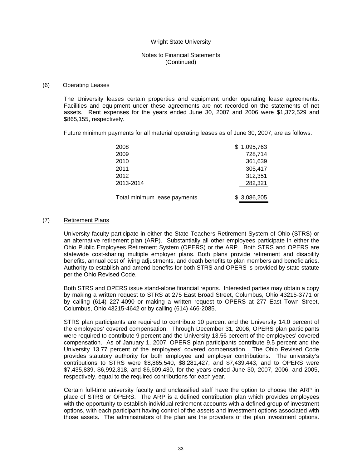## Notes to Financial Statements (Continued)

#### (6) Operating Leases

The University leases certain properties and equipment under operating lease agreements. Facilities and equipment under these agreements are not recorded on the statements of net assets. Rent expenses for the years ended June 30, 2007 and 2006 were \$1,372,529 and \$865,155, respectively.

Future minimum payments for all material operating leases as of June 30, 2007, are as follows:

| 2008                         | \$1,095,763 |
|------------------------------|-------------|
| 2009                         | 728,714     |
| 2010                         | 361,639     |
| 2011                         | 305,417     |
| 2012                         | 312,351     |
| 2013-2014                    | 282,321     |
|                              |             |
| Total minimum lease payments | \$3,086,205 |

## (7) Retirement Plans

University faculty participate in either the State Teachers Retirement System of Ohio (STRS) or an alternative retirement plan (ARP). Substantially all other employees participate in either the Ohio Public Employees Retirement System (OPERS) or the ARP. Both STRS and OPERS are statewide cost-sharing multiple employer plans. Both plans provide retirement and disability benefits, annual cost of living adjustments, and death benefits to plan members and beneficiaries. Authority to establish and amend benefits for both STRS and OPERS is provided by state statute per the Ohio Revised Code.

Both STRS and OPERS issue stand-alone financial reports. Interested parties may obtain a copy by making a written request to STRS at 275 East Broad Street, Columbus, Ohio 43215-3771 or by calling (614) 227-4090 or making a written request to OPERS at 277 East Town Street, Columbus, Ohio 43215-4642 or by calling (614) 466-2085.

STRS plan participants are required to contribute 10 percent and the University 14.0 percent of the employees' covered compensation. Through December 31, 2006, OPERS plan participants were required to contribute 9 percent and the University 13.56 percent of the employees' covered compensation. As of January 1, 2007, OPERS plan participants contribute 9.5 percent and the University 13.77 percent of the employees' covered compensation. The Ohio Revised Code provides statutory authority for both employee and employer contributions. The university's contributions to STRS were \$8,865,540, \$8,281,427, and \$7,439,443, and to OPERS were \$7,435,839, \$6,992,318, and \$6,609,430, for the years ended June 30, 2007, 2006, and 2005, respectively, equal to the required contributions for each year.

Certain full-time university faculty and unclassified staff have the option to choose the ARP in place of STRS or OPERS. The ARP is a defined contribution plan which provides employees with the opportunity to establish individual retirement accounts with a defined group of investment options, with each participant having control of the assets and investment options associated with those assets. The administrators of the plan are the providers of the plan investment options.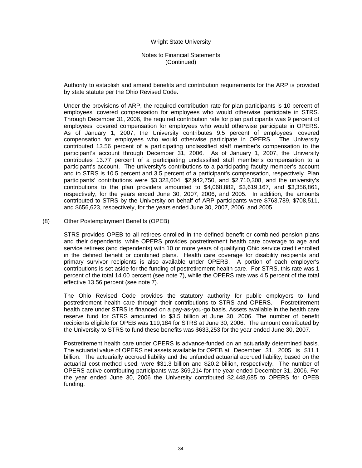## Notes to Financial Statements (Continued)

Authority to establish and amend benefits and contribution requirements for the ARP is provided by state statute per the Ohio Revised Code.

Under the provisions of ARP, the required contribution rate for plan participants is 10 percent of employees' covered compensation for employees who would otherwise participate in STRS. Through December 31, 2006, the required contribution rate for plan participants was 9 percent of employees' covered compensation for employees who would otherwise participate in OPERS. As of January 1, 2007, the University contributes 9.5 percent of employees' covered compensation for employees who would otherwise participate in OPERS. The University contributed 13.56 percent of a participating unclassified staff member's compensation to the participant's account through December 31, 2006. As of January 1, 2007, the University contributes 13.77 percent of a participating unclassified staff member's compensation to a participant's account. The university's contributions to a participating faculty member's account and to STRS is 10.5 percent and 3.5 percent of a participant's compensation, respectively. Plan participants' contributions were \$3,328,604, \$2,942,750, and \$2,710,308, and the university's contributions to the plan providers amounted to \$4,068,882, \$3,619,167, and \$3,356,861, respectively, for the years ended June 30, 2007, 2006, and 2005. In addition, the amounts contributed to STRS by the University on behalf of ARP participants were \$763,789, \$708,511, and \$656,623, respectively, for the years ended June 30, 2007, 2006, and 2005.

#### (8) Other Postemployment Benefits (OPEB)

STRS provides OPEB to all retirees enrolled in the defined benefit or combined pension plans and their dependents, while OPERS provides postretirement health care coverage to age and service retirees (and dependents) with 10 or more years of qualifying Ohio service credit enrolled in the defined benefit or combined plans. Health care coverage for disability recipients and primary survivor recipients is also available under OPERS. A portion of each employer's contributions is set aside for the funding of postretirement health care. For STRS, this rate was 1 percent of the total 14.00 percent (see note 7), while the OPERS rate was 4.5 percent of the total effective 13.56 percent (see note 7).

The Ohio Revised Code provides the statutory authority for public employers to fund postretirement health care through their contributions to STRS and OPERS. Postretirement health care under STRS is financed on a pay-as-you-go basis. Assets available in the health care reserve fund for STRS amounted to \$3.5 billion at June 30, 2006. The number of benefit recipients eligible for OPEB was 119,184 for STRS at June 30, 2006. The amount contributed by the University to STRS to fund these benefits was \$633,253 for the year ended June 30, 2007.

Postretirement health care under OPERS is advance-funded on an actuarially determined basis. The actuarial value of OPERS net assets available for OPEB at December 31, 2005 is \$11.1 billion. The actuarially accrued liability and the unfunded actuarial accrued liability, based on the actuarial cost method used, were \$31.3 billion and \$20.2 billion, respectively. The number of OPERS active contributing participants was 369,214 for the year ended December 31, 2006. For the year ended June 30, 2006 the University contributed \$2,448,685 to OPERS for OPEB funding.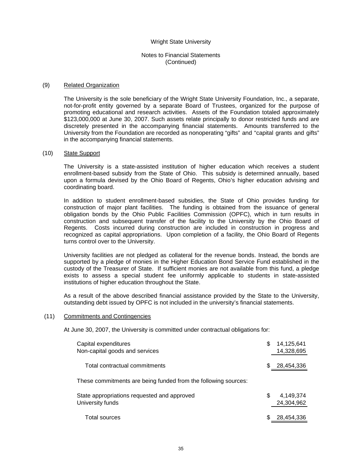## Notes to Financial Statements (Continued)

#### (9) Related Organization

The University is the sole beneficiary of the Wright State University Foundation, Inc., a separate, not-for-profit entity governed by a separate Board of Trustees, organized for the purpose of promoting educational and research activities. Assets of the Foundation totaled approximately \$123,000,000 at June 30, 2007. Such assets relate principally to donor restricted funds and are discretely presented in the accompanying financial statements. Amounts transferred to the University from the Foundation are recorded as nonoperating "gifts" and "capital grants and gifts" in the accompanying financial statements.

#### (10) State Support

The University is a state-assisted institution of higher education which receives a student enrollment-based subsidy from the State of Ohio. This subsidy is determined annually, based upon a formula devised by the Ohio Board of Regents, Ohio's higher education advising and coordinating board.

In addition to student enrollment-based subsidies, the State of Ohio provides funding for construction of major plant facilities. The funding is obtained from the issuance of general obligation bonds by the Ohio Public Facilities Commission (OPFC), which in turn results in construction and subsequent transfer of the facility to the University by the Ohio Board of Regents. Costs incurred during construction are included in construction in progress and recognized as capital appropriations. Upon completion of a facility, the Ohio Board of Regents turns control over to the University.

University facilities are not pledged as collateral for the revenue bonds. Instead, the bonds are supported by a pledge of monies in the Higher Education Bond Service Fund established in the custody of the Treasurer of State. If sufficient monies are not available from this fund, a pledge exists to assess a special student fee uniformly applicable to students in state-assisted institutions of higher education throughout the State.

As a result of the above described financial assistance provided by the State to the University, outstanding debt issued by OPFC is not included in the university's financial statements.

#### (11) Commitments and Contingencies

At June 30, 2007, the University is committed under contractual obligations for:

| Capital expenditures<br>Non-capital goods and services          | S | 14,125,641<br>14,328,695 |
|-----------------------------------------------------------------|---|--------------------------|
| Total contractual commitments                                   | S | 28,454,336               |
| These commitments are being funded from the following sources:  |   |                          |
| State appropriations requested and approved<br>University funds | S | 4,149,374<br>24,304,962  |
| <b>Total sources</b>                                            |   | 28,454,336               |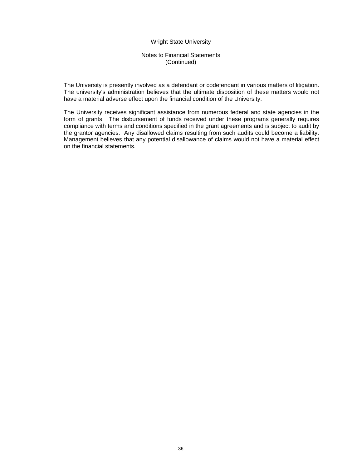## Notes to Financial Statements (Continued)

The University is presently involved as a defendant or codefendant in various matters of litigation. The university's administration believes that the ultimate disposition of these matters would not have a material adverse effect upon the financial condition of the University.

The University receives significant assistance from numerous federal and state agencies in the form of grants. The disbursement of funds received under these programs generally requires compliance with terms and conditions specified in the grant agreements and is subject to audit by the grantor agencies. Any disallowed claims resulting from such audits could become a liability. Management believes that any potential disallowance of claims would not have a material effect on the financial statements.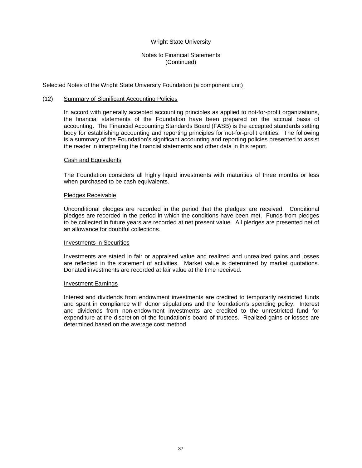## Notes to Financial Statements (Continued)

#### Selected Notes of the Wright State University Foundation (a component unit)

#### (12) Summary of Significant Accounting Policies

In accord with generally accepted accounting principles as applied to not-for-profit organizations, the financial statements of the Foundation have been prepared on the accrual basis of accounting. The Financial Accounting Standards Board (FASB) is the accepted standards setting body for establishing accounting and reporting principles for not-for-profit entities. The following is a summary of the Foundation's significant accounting and reporting policies presented to assist the reader in interpreting the financial statements and other data in this report.

#### Cash and Equivalents

The Foundation considers all highly liquid investments with maturities of three months or less when purchased to be cash equivalents.

#### Pledges Receivable

Unconditional pledges are recorded in the period that the pledges are received. Conditional pledges are recorded in the period in which the conditions have been met. Funds from pledges to be collected in future years are recorded at net present value. All pledges are presented net of an allowance for doubtful collections.

#### Investments in Securities

Investments are stated in fair or appraised value and realized and unrealized gains and losses are reflected in the statement of activities. Market value is determined by market quotations. Donated investments are recorded at fair value at the time received.

#### Investment Earnings

Interest and dividends from endowment investments are credited to temporarily restricted funds and spent in compliance with donor stipulations and the foundation's spending policy. Interest and dividends from non-endowment investments are credited to the unrestricted fund for expenditure at the discretion of the foundation's board of trustees. Realized gains or losses are determined based on the average cost method.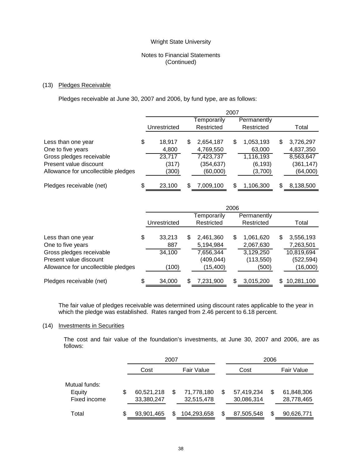## Notes to Financial Statements (Continued)

#### (13) Pledges Receivable

Pledges receivable at June 30, 2007 and 2006, by fund type, are as follows:

|                                     |    | 2007         |   |             |   |             |   |            |
|-------------------------------------|----|--------------|---|-------------|---|-------------|---|------------|
|                                     |    |              |   | Temporarily |   | Permanently |   |            |
|                                     |    | Unrestricted |   | Restricted  |   | Restricted  |   | Total      |
|                                     |    |              |   |             |   |             |   |            |
| Less than one year                  | \$ | 18.917       | S | 2,654,187   | S | 1,053,193   | S | 3,726,297  |
| One to five years                   |    | 4,800        |   | 4,769,550   |   | 63,000      |   | 4,837,350  |
| Gross pledges receivable            |    | 23,717       |   | 7,423,737   |   | 1,116,193   |   | 8,563,647  |
| Present value discount              |    | (317)        |   | (354,637)   |   | (6, 193)    |   | (361, 147) |
| Allowance for uncollectible pledges |    | (300)        |   | (60,000)    |   | (3,700)     |   | (64,000)   |
|                                     |    |              |   |             |   |             |   |            |
| Pledges receivable (net)            | S  | 23.100       |   | 7,009,100   | S | 1,106,300   | S | 8,138,500  |

|                                     |    | 2006         |   |             |   |             |     |            |
|-------------------------------------|----|--------------|---|-------------|---|-------------|-----|------------|
|                                     |    |              |   | Temporarily |   | Permanently |     |            |
|                                     |    | Unrestricted |   | Restricted  |   | Restricted  |     | Total      |
|                                     |    |              |   |             |   |             |     |            |
| Less than one year                  | \$ | 33,213       | S | 2,461,360   | S | 1,061,620   | S   | 3,556,193  |
| One to five years                   |    | 887          |   | 5,194,984   |   | 2,067,630   |     | 7,263,501  |
| Gross pledges receivable            |    | 34,100       |   | 7,656,344   |   | 3,129,250   |     | 10,819,694 |
| Present value discount              |    |              |   | (409, 044)  |   | (113, 550)  |     | (522, 594) |
| Allowance for uncollectible pledges |    | (100)        |   | (15, 400)   |   | (500)       |     | (16,000)   |
|                                     |    |              |   |             |   |             |     |            |
| Pledges receivable (net)            | S  | 34,000       |   | 7,231,900   | S | 3,015,200   | \$. | 10,281,100 |

The fair value of pledges receivable was determined using discount rates applicable to the year in which the pledge was established. Rates ranged from 2.46 percent to 6.18 percent.

#### (14) Investments in Securities

The cost and fair value of the foundation's investments, at June 30, 2007 and 2006, are as follows:

|               |   |                    | 2007 |             | 2006       |            |            |
|---------------|---|--------------------|------|-------------|------------|------------|------------|
|               |   | Cost<br>Fair Value |      | Cost        |            | Fair Value |            |
| Mutual funds: |   |                    |      |             |            |            |            |
| Equity        | S | 60,521,218         |      | 71,778,180  | 57,419,234 | S          | 61,848,306 |
| Fixed income  |   | 33,380,247         |      | 32,515,478  | 30,086,314 |            | 28,778,465 |
| Total         | S | 93,901,465         |      | 104,293,658 | 87,505,548 | S          | 90,626,771 |